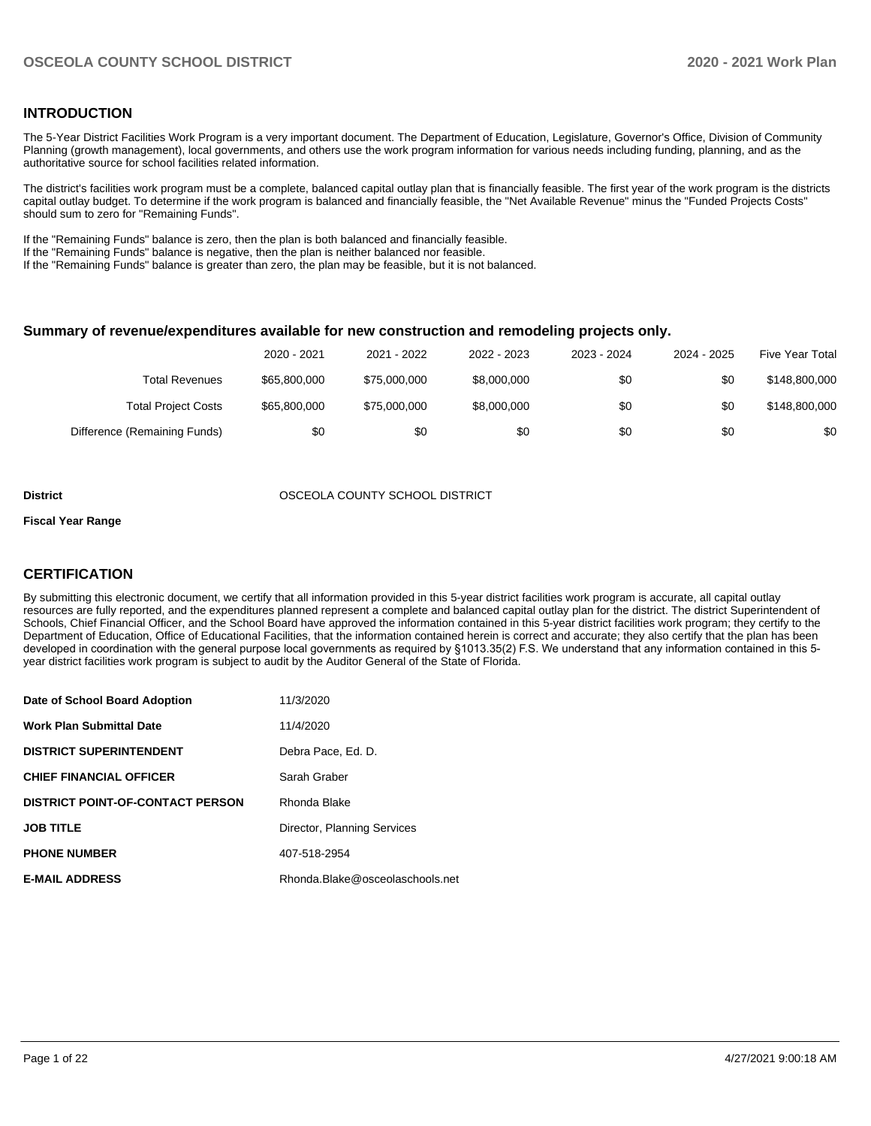### **INTRODUCTION**

The 5-Year District Facilities Work Program is a very important document. The Department of Education, Legislature, Governor's Office, Division of Community Planning (growth management), local governments, and others use the work program information for various needs including funding, planning, and as the authoritative source for school facilities related information.

The district's facilities work program must be a complete, balanced capital outlay plan that is financially feasible. The first year of the work program is the districts capital outlay budget. To determine if the work program is balanced and financially feasible, the "Net Available Revenue" minus the "Funded Projects Costs" should sum to zero for "Remaining Funds".

If the "Remaining Funds" balance is zero, then the plan is both balanced and financially feasible.

If the "Remaining Funds" balance is negative, then the plan is neither balanced nor feasible.

If the "Remaining Funds" balance is greater than zero, the plan may be feasible, but it is not balanced.

#### **Summary of revenue/expenditures available for new construction and remodeling projects only.**

|                              | 2020 - 2021  | 2021 - 2022  | 2022 - 2023 | 2023 - 2024 | 2024 - 2025 | <b>Five Year Total</b> |
|------------------------------|--------------|--------------|-------------|-------------|-------------|------------------------|
| Total Revenues               | \$65,800,000 | \$75,000,000 | \$8,000,000 | \$0         | \$0         | \$148,800,000          |
| <b>Total Project Costs</b>   | \$65,800,000 | \$75,000,000 | \$8,000,000 | \$0         | \$0         | \$148,800,000          |
| Difference (Remaining Funds) | \$0          | \$0          | \$0         | \$0         | \$0         | \$0                    |

#### **District** OSCEOLA COUNTY SCHOOL DISTRICT

#### **Fiscal Year Range**

### **CERTIFICATION**

By submitting this electronic document, we certify that all information provided in this 5-year district facilities work program is accurate, all capital outlay resources are fully reported, and the expenditures planned represent a complete and balanced capital outlay plan for the district. The district Superintendent of Schools, Chief Financial Officer, and the School Board have approved the information contained in this 5-year district facilities work program; they certify to the Department of Education, Office of Educational Facilities, that the information contained herein is correct and accurate; they also certify that the plan has been developed in coordination with the general purpose local governments as required by §1013.35(2) F.S. We understand that any information contained in this 5 year district facilities work program is subject to audit by the Auditor General of the State of Florida.

| Date of School Board Adoption           | 11/3/2020                       |
|-----------------------------------------|---------------------------------|
| <b>Work Plan Submittal Date</b>         | 11/4/2020                       |
| <b>DISTRICT SUPERINTENDENT</b>          | Debra Pace, Ed. D.              |
| <b>CHIEF FINANCIAL OFFICER</b>          | Sarah Graber                    |
| <b>DISTRICT POINT-OF-CONTACT PERSON</b> | Rhonda Blake                    |
| <b>JOB TITLE</b>                        | Director, Planning Services     |
| <b>PHONE NUMBER</b>                     | 407-518-2954                    |
| <b>E-MAIL ADDRESS</b>                   | Rhonda.Blake@osceolaschools.net |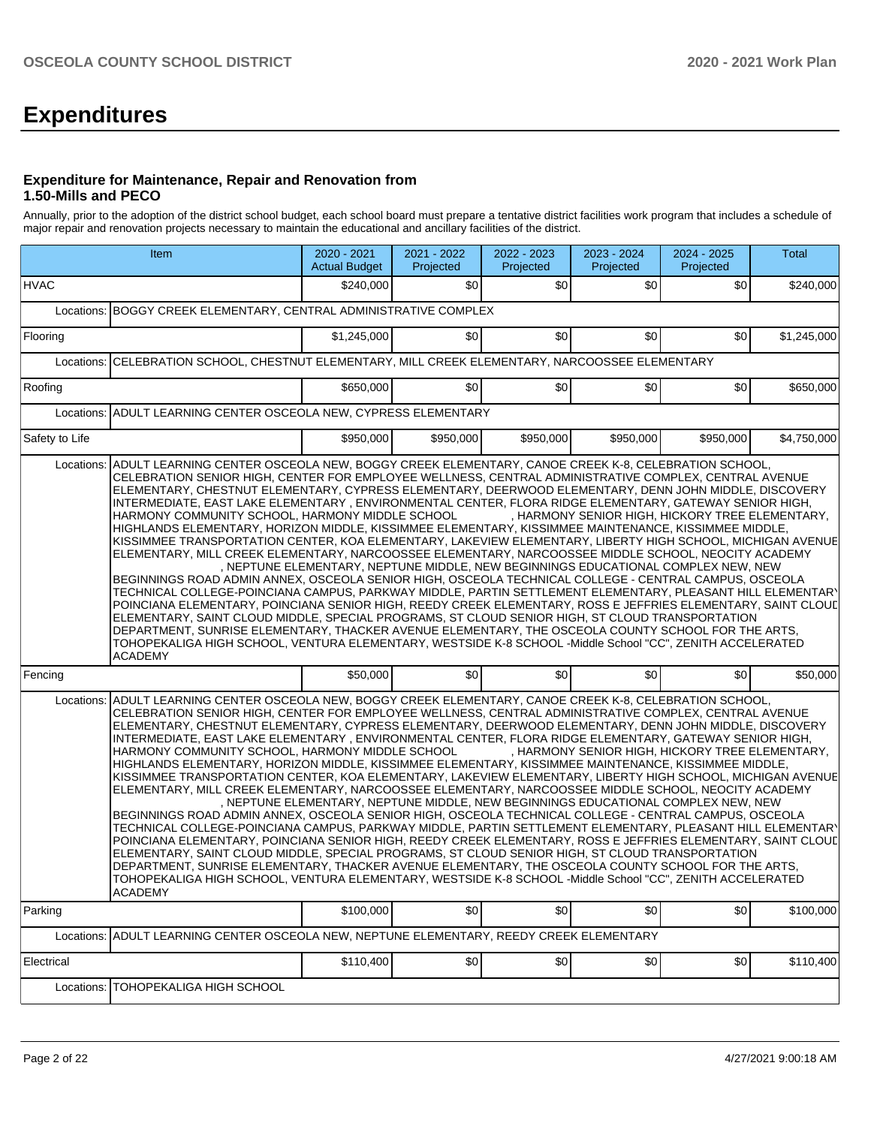# **Expenditures**

#### **Expenditure for Maintenance, Repair and Renovation from 1.50-Mills and PECO**

Annually, prior to the adoption of the district school budget, each school board must prepare a tentative district facilities work program that includes a schedule of major repair and renovation projects necessary to maintain the educational and ancillary facilities of the district.

|                                                                                                     | Item                                                                                                                                                                                                                                                                                                                                                                                                                                                                                                                                                                                                                                                                                                                                                                                                                                                                                                                                                                                                                                                                                                                                                                                                                                                                                                                                                                                                                                                                                       | 2020 - 2021<br><b>Actual Budget</b> | 2021 - 2022<br>Projected | 2022 - 2023<br>Projected | 2023 - 2024<br>Projected | 2024 - 2025<br>Projected                                                                                                             | Total       |  |  |  |
|-----------------------------------------------------------------------------------------------------|--------------------------------------------------------------------------------------------------------------------------------------------------------------------------------------------------------------------------------------------------------------------------------------------------------------------------------------------------------------------------------------------------------------------------------------------------------------------------------------------------------------------------------------------------------------------------------------------------------------------------------------------------------------------------------------------------------------------------------------------------------------------------------------------------------------------------------------------------------------------------------------------------------------------------------------------------------------------------------------------------------------------------------------------------------------------------------------------------------------------------------------------------------------------------------------------------------------------------------------------------------------------------------------------------------------------------------------------------------------------------------------------------------------------------------------------------------------------------------------------|-------------------------------------|--------------------------|--------------------------|--------------------------|--------------------------------------------------------------------------------------------------------------------------------------|-------------|--|--|--|
| <b>HVAC</b>                                                                                         |                                                                                                                                                                                                                                                                                                                                                                                                                                                                                                                                                                                                                                                                                                                                                                                                                                                                                                                                                                                                                                                                                                                                                                                                                                                                                                                                                                                                                                                                                            | \$240,000                           | ا 30                     | \$0                      | \$0                      | \$0                                                                                                                                  | \$240,000   |  |  |  |
|                                                                                                     | Locations: BOGGY CREEK ELEMENTARY, CENTRAL ADMINISTRATIVE COMPLEX                                                                                                                                                                                                                                                                                                                                                                                                                                                                                                                                                                                                                                                                                                                                                                                                                                                                                                                                                                                                                                                                                                                                                                                                                                                                                                                                                                                                                          |                                     |                          |                          |                          |                                                                                                                                      |             |  |  |  |
| Flooring                                                                                            |                                                                                                                                                                                                                                                                                                                                                                                                                                                                                                                                                                                                                                                                                                                                                                                                                                                                                                                                                                                                                                                                                                                                                                                                                                                                                                                                                                                                                                                                                            | \$1,245,000                         | \$0                      | \$0                      | \$0                      | \$0                                                                                                                                  | \$1,245,000 |  |  |  |
| CELEBRATION SCHOOL, CHESTNUT ELEMENTARY, MILL CREEK ELEMENTARY, NARCOOSSEE ELEMENTARY<br>Locations: |                                                                                                                                                                                                                                                                                                                                                                                                                                                                                                                                                                                                                                                                                                                                                                                                                                                                                                                                                                                                                                                                                                                                                                                                                                                                                                                                                                                                                                                                                            |                                     |                          |                          |                          |                                                                                                                                      |             |  |  |  |
| Roofing                                                                                             |                                                                                                                                                                                                                                                                                                                                                                                                                                                                                                                                                                                                                                                                                                                                                                                                                                                                                                                                                                                                                                                                                                                                                                                                                                                                                                                                                                                                                                                                                            | \$650,000                           | \$0                      | \$0                      | \$0                      | \$0                                                                                                                                  | \$650,000   |  |  |  |
|                                                                                                     | Locations: ADULT LEARNING CENTER OSCEOLA NEW, CYPRESS ELEMENTARY                                                                                                                                                                                                                                                                                                                                                                                                                                                                                                                                                                                                                                                                                                                                                                                                                                                                                                                                                                                                                                                                                                                                                                                                                                                                                                                                                                                                                           |                                     |                          |                          |                          |                                                                                                                                      |             |  |  |  |
| Safety to Life                                                                                      |                                                                                                                                                                                                                                                                                                                                                                                                                                                                                                                                                                                                                                                                                                                                                                                                                                                                                                                                                                                                                                                                                                                                                                                                                                                                                                                                                                                                                                                                                            | \$950,000                           | \$950,000                | \$950,000                | \$950,000                | \$950,000                                                                                                                            | \$4,750,000 |  |  |  |
|                                                                                                     | CELEBRATION SENIOR HIGH, CENTER FOR EMPLOYEE WELLNESS, CENTRAL ADMINISTRATIVE COMPLEX, CENTRAL AVENUE<br>ELEMENTARY, CHESTNUT ELEMENTARY, CYPRESS ELEMENTARY, DEERWOOD ELEMENTARY, DENN JOHN MIDDLE, DISCOVERY<br>INTERMEDIATE, EAST LAKE ELEMENTARY, ENVIRONMENTAL CENTER, FLORA RIDGE ELEMENTARY, GATEWAY SENIOR HIGH,<br>HARMONY COMMUNITY SCHOOL, HARMONY MIDDLE SCHOOL<br>HIGHLANDS ELEMENTARY, HORIZON MIDDLE, KISSIMMEE ELEMENTARY, KISSIMMEE MAINTENANCE, KISSIMMEE MIDDLE,<br>KISSIMMEE TRANSPORTATION CENTER, KOA ELEMENTARY, LAKEVIEW ELEMENTARY, LIBERTY HIGH SCHOOL, MICHIGAN AVENUE<br>ELEMENTARY, MILL CREEK ELEMENTARY, NARCOOSSEE ELEMENTARY, NARCOOSSEE MIDDLE SCHOOL, NEOCITY ACADEMY<br>BEGINNINGS ROAD ADMIN ANNEX, OSCEOLA SENIOR HIGH, OSCEOLA TECHNICAL COLLEGE - CENTRAL CAMPUS, OSCEOLA<br>TECHNICAL COLLEGE-POINCIANA CAMPUS, PARKWAY MIDDLE, PARTIN SETTLEMENT ELEMENTARY, PLEASANT HILL ELEMENTARY<br>POINCIANA ELEMENTARY, POINCIANA SENIOR HIGH, REEDY CREEK ELEMENTARY, ROSS E JEFFRIES ELEMENTARY, SAINT CLOUL<br>ELEMENTARY, SAINT CLOUD MIDDLE, SPECIAL PROGRAMS, ST CLOUD SENIOR HIGH, ST CLOUD TRANSPORTATION<br>DEPARTMENT, SUNRISE ELEMENTARY, THACKER AVENUE ELEMENTARY, THE OSCEOLA COUNTY SCHOOL FOR THE ARTS,<br>TOHOPEKALIGA HIGH SCHOOL, VENTURA ELEMENTARY, WESTSIDE K-8 SCHOOL -Middle School "CC", ZENITH ACCELERATED<br><b>ACADEMY</b>                                                                                                    |                                     |                          |                          |                          | , HARMONY SENIOR HIGH, HICKORY TREE ELEMENTARY,<br>, NEPTUNE ELEMENTARY, NEPTUNE MIDDLE, NEW BEGINNINGS EDUCATIONAL COMPLEX NEW, NEW |             |  |  |  |
| Fencing                                                                                             |                                                                                                                                                                                                                                                                                                                                                                                                                                                                                                                                                                                                                                                                                                                                                                                                                                                                                                                                                                                                                                                                                                                                                                                                                                                                                                                                                                                                                                                                                            | \$50,000                            | \$0                      | \$0                      | \$0                      | \$0                                                                                                                                  | \$50,000    |  |  |  |
| Locations:                                                                                          | ADULT LEARNING CENTER OSCEOLA NEW, BOGGY CREEK ELEMENTARY, CANOE CREEK K-8, CELEBRATION SCHOOL,<br>CELEBRATION SENIOR HIGH, CENTER FOR EMPLOYEE WELLNESS, CENTRAL ADMINISTRATIVE COMPLEX, CENTRAL AVENUE<br>ELEMENTARY, CHESTNUT ELEMENTARY, CYPRESS ELEMENTARY, DEERWOOD ELEMENTARY, DENN JOHN MIDDLE, DISCOVERY<br>INTERMEDIATE, EAST LAKE ELEMENTARY, ENVIRONMENTAL CENTER, FLORA RIDGE ELEMENTARY, GATEWAY SENIOR HIGH,<br>HARMONY COMMUNITY SCHOOL, HARMONY MIDDLE SCHOOL<br>HIGHLANDS ELEMENTARY, HORIZON MIDDLE, KISSIMMEE ELEMENTARY, KISSIMMEE MAINTENANCE, KISSIMMEE MIDDLE,<br>KISSIMMEE TRANSPORTATION CENTER, KOA ELEMENTARY, LAKEVIEW ELEMENTARY, LIBERTY HIGH SCHOOL, MICHIGAN AVENUE<br>ELEMENTARY, MILL CREEK ELEMENTARY, NARCOOSSEE ELEMENTARY, NARCOOSSEE MIDDLE SCHOOL, NEOCITY ACADEMY<br>BEGINNINGS ROAD ADMIN ANNEX, OSCEOLA SENIOR HIGH, OSCEOLA TECHNICAL COLLEGE - CENTRAL CAMPUS, OSCEOLA<br>TECHNICAL COLLEGE-POINCIANA CAMPUS, PARKWAY MIDDLE, PARTIN SETTLEMENT ELEMENTARY, PLEASANT HILL ELEMENTARY<br>POINCIANA ELEMENTARY, POINCIANA SENIOR HIGH, REEDY CREEK ELEMENTARY, ROSS E JEFFRIES ELEMENTARY, SAINT CLOUL<br>ELEMENTARY, SAINT CLOUD MIDDLE, SPECIAL PROGRAMS, ST CLOUD SENIOR HIGH, ST CLOUD TRANSPORTATION<br>DEPARTMENT, SUNRISE ELEMENTARY, THACKER AVENUE ELEMENTARY, THE OSCEOLA COUNTY SCHOOL FOR THE ARTS,<br>TOHOPEKALIGA HIGH SCHOOL, VENTURA ELEMENTARY, WESTSIDE K-8 SCHOOL -Middle School "CC", ZENITH ACCELERATED<br><b>ACADEMY</b> |                                     |                          |                          |                          | , HARMONY SENIOR HIGH, HICKORY TREE ELEMENTARY,<br>. NEPTUNE ELEMENTARY. NEPTUNE MIDDLE. NEW BEGINNINGS EDUCATIONAL COMPLEX NEW. NEW |             |  |  |  |
| Parking                                                                                             |                                                                                                                                                                                                                                                                                                                                                                                                                                                                                                                                                                                                                                                                                                                                                                                                                                                                                                                                                                                                                                                                                                                                                                                                                                                                                                                                                                                                                                                                                            | \$100,000                           | \$0                      | \$0                      | \$0                      | \$0                                                                                                                                  | \$100,000   |  |  |  |
|                                                                                                     | Locations: ADULT LEARNING CENTER OSCEOLA NEW, NEPTUNE ELEMENTARY, REEDY CREEK ELEMENTARY                                                                                                                                                                                                                                                                                                                                                                                                                                                                                                                                                                                                                                                                                                                                                                                                                                                                                                                                                                                                                                                                                                                                                                                                                                                                                                                                                                                                   |                                     |                          |                          |                          |                                                                                                                                      |             |  |  |  |
| Electrical                                                                                          |                                                                                                                                                                                                                                                                                                                                                                                                                                                                                                                                                                                                                                                                                                                                                                                                                                                                                                                                                                                                                                                                                                                                                                                                                                                                                                                                                                                                                                                                                            | \$110,400                           | \$0                      | \$0                      | \$0                      | \$0                                                                                                                                  | \$110,400   |  |  |  |
| Locations:                                                                                          | TOHOPEKALIGA HIGH SCHOOL                                                                                                                                                                                                                                                                                                                                                                                                                                                                                                                                                                                                                                                                                                                                                                                                                                                                                                                                                                                                                                                                                                                                                                                                                                                                                                                                                                                                                                                                   |                                     |                          |                          |                          |                                                                                                                                      |             |  |  |  |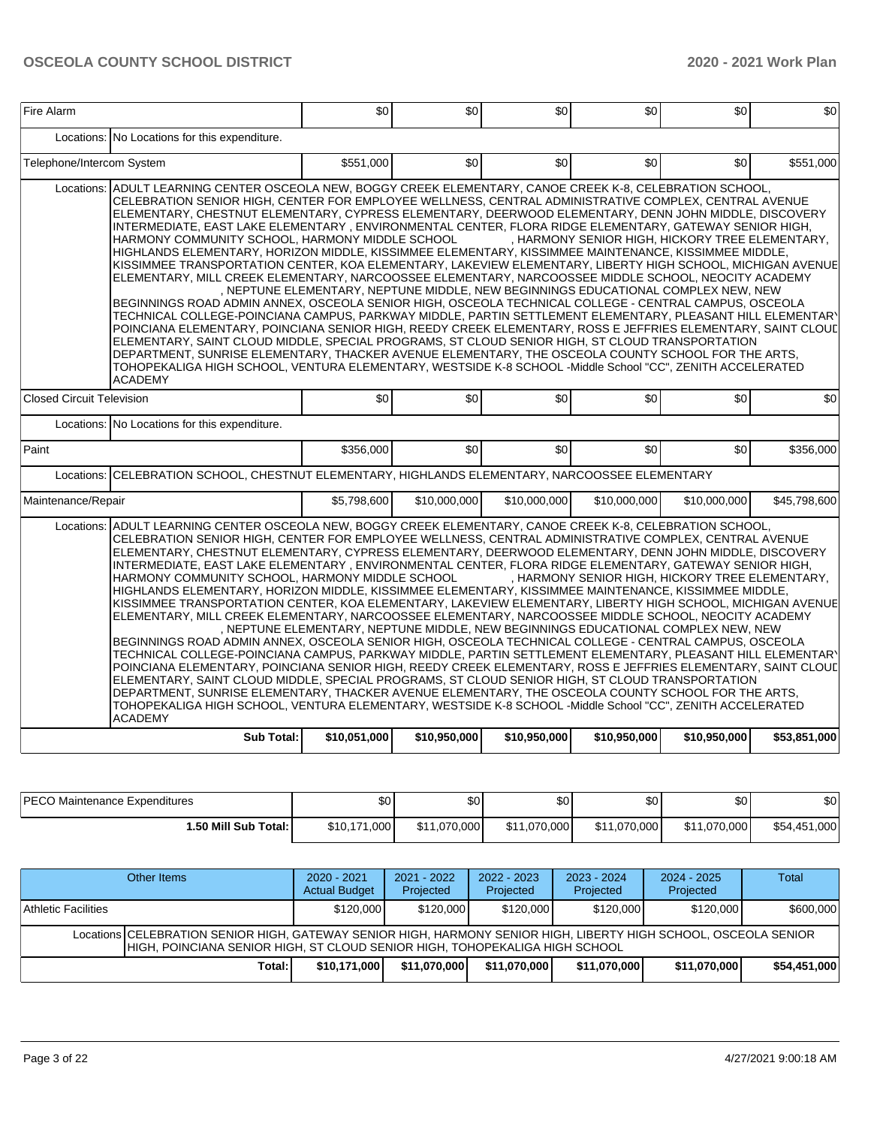| Fire Alarm                       |                                                                                                                                                                                                                                                                                                                                                                                                                                                                                                                                                                                                                                                                                                                                                                                                                                                                                                                                                                                                                                                                                                                                                                                                                                                                                                                                                                                                                                                                                            | \$0          | \$0                                                                               | \$0          | \$0          | \$0                                             | \$0          |
|----------------------------------|--------------------------------------------------------------------------------------------------------------------------------------------------------------------------------------------------------------------------------------------------------------------------------------------------------------------------------------------------------------------------------------------------------------------------------------------------------------------------------------------------------------------------------------------------------------------------------------------------------------------------------------------------------------------------------------------------------------------------------------------------------------------------------------------------------------------------------------------------------------------------------------------------------------------------------------------------------------------------------------------------------------------------------------------------------------------------------------------------------------------------------------------------------------------------------------------------------------------------------------------------------------------------------------------------------------------------------------------------------------------------------------------------------------------------------------------------------------------------------------------|--------------|-----------------------------------------------------------------------------------|--------------|--------------|-------------------------------------------------|--------------|
| Locations:                       | No Locations for this expenditure.                                                                                                                                                                                                                                                                                                                                                                                                                                                                                                                                                                                                                                                                                                                                                                                                                                                                                                                                                                                                                                                                                                                                                                                                                                                                                                                                                                                                                                                         |              |                                                                                   |              |              |                                                 |              |
| Telephone/Intercom System        |                                                                                                                                                                                                                                                                                                                                                                                                                                                                                                                                                                                                                                                                                                                                                                                                                                                                                                                                                                                                                                                                                                                                                                                                                                                                                                                                                                                                                                                                                            | \$551,000    | \$0                                                                               | \$0          | \$0          | \$0                                             | \$551,000    |
| Locations:                       | ADULT LEARNING CENTER OSCEOLA NEW, BOGGY CREEK ELEMENTARY, CANOE CREEK K-8, CELEBRATION SCHOOL,<br>CELEBRATION SENIOR HIGH, CENTER FOR EMPLOYEE WELLNESS, CENTRAL ADMINISTRATIVE COMPLEX, CENTRAL AVENUE<br>ELEMENTARY, CHESTNUT ELEMENTARY, CYPRESS ELEMENTARY, DEERWOOD ELEMENTARY, DENN JOHN MIDDLE, DISCOVERY<br>INTERMEDIATE, EAST LAKE ELEMENTARY, ENVIRONMENTAL CENTER, FLORA RIDGE ELEMENTARY, GATEWAY SENIOR HIGH,<br>HARMONY COMMUNITY SCHOOL, HARMONY MIDDLE SCHOOL<br>HIGHLANDS ELEMENTARY, HORIZON MIDDLE, KISSIMMEE ELEMENTARY, KISSIMMEE MAINTENANCE, KISSIMMEE MIDDLE,<br>KISSIMMEE TRANSPORTATION CENTER, KOA ELEMENTARY, LAKEVIEW ELEMENTARY, LIBERTY HIGH SCHOOL, MICHIGAN AVENUE<br>ELEMENTARY, MILL CREEK ELEMENTARY, NARCOOSSEE ELEMENTARY, NARCOOSSEE MIDDLE SCHOOL, NEOCITY ACADEMY<br>BEGINNINGS ROAD ADMIN ANNEX, OSCEOLA SENIOR HIGH, OSCEOLA TECHNICAL COLLEGE - CENTRAL CAMPUS, OSCEOLA<br>TECHNICAL COLLEGE-POINCIANA CAMPUS, PARKWAY MIDDLE, PARTIN SETTLEMENT ELEMENTARY, PLEASANT HILL ELEMENTARY<br>POINCIANA ELEMENTARY, POINCIANA SENIOR HIGH, REEDY CREEK ELEMENTARY, ROSS E JEFFRIES ELEMENTARY, SAINT CLOUL<br>ELEMENTARY, SAINT CLOUD MIDDLE, SPECIAL PROGRAMS, ST CLOUD SENIOR HIGH, ST CLOUD TRANSPORTATION<br>DEPARTMENT, SUNRISE ELEMENTARY, THACKER AVENUE ELEMENTARY, THE OSCEOLA COUNTY SCHOOL FOR THE ARTS,<br>TOHOPEKALIGA HIGH SCHOOL, VENTURA ELEMENTARY, WESTSIDE K-8 SCHOOL -Middle School "CC", ZENITH ACCELERATED                   |              | , NEPTUNE ELEMENTARY, NEPTUNE MIDDLE, NEW BEGINNINGS EDUCATIONAL COMPLEX NEW, NEW |              |              | , HARMONY SENIOR HIGH, HICKORY TREE ELEMENTARY, |              |
| <b>Closed Circuit Television</b> | <b>ACADEMY</b>                                                                                                                                                                                                                                                                                                                                                                                                                                                                                                                                                                                                                                                                                                                                                                                                                                                                                                                                                                                                                                                                                                                                                                                                                                                                                                                                                                                                                                                                             | \$0          | \$0                                                                               | \$0          | \$0          | \$0                                             | \$0          |
|                                  | Locations: No Locations for this expenditure.                                                                                                                                                                                                                                                                                                                                                                                                                                                                                                                                                                                                                                                                                                                                                                                                                                                                                                                                                                                                                                                                                                                                                                                                                                                                                                                                                                                                                                              |              |                                                                                   |              |              |                                                 |              |
| Paint                            |                                                                                                                                                                                                                                                                                                                                                                                                                                                                                                                                                                                                                                                                                                                                                                                                                                                                                                                                                                                                                                                                                                                                                                                                                                                                                                                                                                                                                                                                                            | \$356,000    | \$0                                                                               | \$0          | \$0          | \$0                                             | \$356,000    |
| Locations:                       | CELEBRATION SCHOOL, CHESTNUT ELEMENTARY, HIGHLANDS ELEMENTARY, NARCOOSSEE ELEMENTARY                                                                                                                                                                                                                                                                                                                                                                                                                                                                                                                                                                                                                                                                                                                                                                                                                                                                                                                                                                                                                                                                                                                                                                                                                                                                                                                                                                                                       |              |                                                                                   |              |              |                                                 |              |
| Maintenance/Repair               |                                                                                                                                                                                                                                                                                                                                                                                                                                                                                                                                                                                                                                                                                                                                                                                                                                                                                                                                                                                                                                                                                                                                                                                                                                                                                                                                                                                                                                                                                            | \$5,798,600  | \$10,000,000                                                                      | \$10,000,000 | \$10,000,000 | \$10,000,000                                    | \$45,798,600 |
| Locations:                       | ADULT LEARNING CENTER OSCEOLA NEW, BOGGY CREEK ELEMENTARY, CANOE CREEK K-8, CELEBRATION SCHOOL,<br>CELEBRATION SENIOR HIGH, CENTER FOR EMPLOYEE WELLNESS, CENTRAL ADMINISTRATIVE COMPLEX, CENTRAL AVENUE<br>ELEMENTARY, CHESTNUT ELEMENTARY, CYPRESS ELEMENTARY, DEERWOOD ELEMENTARY, DENN JOHN MIDDLE, DISCOVERY<br>INTERMEDIATE, EAST LAKE ELEMENTARY, ENVIRONMENTAL CENTER, FLORA RIDGE ELEMENTARY, GATEWAY SENIOR HIGH,<br>HARMONY COMMUNITY SCHOOL, HARMONY MIDDLE SCHOOL<br>HIGHLANDS ELEMENTARY, HORIZON MIDDLE, KISSIMMEE ELEMENTARY, KISSIMMEE MAINTENANCE, KISSIMMEE MIDDLE,<br>KISSIMMEE TRANSPORTATION CENTER, KOA ELEMENTARY, LAKEVIEW ELEMENTARY, LIBERTY HIGH SCHOOL, MICHIGAN AVENUE<br>ELEMENTARY, MILL CREEK ELEMENTARY, NARCOOSSEE ELEMENTARY, NARCOOSSEE MIDDLE SCHOOL, NEOCITY ACADEMY<br>BEGINNINGS ROAD ADMIN ANNEX, OSCEOLA SENIOR HIGH, OSCEOLA TECHNICAL COLLEGE - CENTRAL CAMPUS, OSCEOLA<br>TECHNICAL COLLEGE-POINCIANA CAMPUS, PARKWAY MIDDLE, PARTIN SETTLEMENT ELEMENTARY, PLEASANT HILL ELEMENTARY<br>POINCIANA ELEMENTARY, POINCIANA SENIOR HIGH, REEDY CREEK ELEMENTARY, ROSS E JEFFRIES ELEMENTARY, SAINT CLOUL<br>ELEMENTARY, SAINT CLOUD MIDDLE, SPECIAL PROGRAMS, ST CLOUD SENIOR HIGH, ST CLOUD TRANSPORTATION<br>DEPARTMENT, SUNRISE ELEMENTARY, THACKER AVENUE ELEMENTARY, THE OSCEOLA COUNTY SCHOOL FOR THE ARTS,<br>TOHOPEKALIGA HIGH SCHOOL, VENTURA ELEMENTARY, WESTSIDE K-8 SCHOOL -Middle School "CC", ZENITH ACCELERATED<br><b>ACADEMY</b> |              | , NEPTUNE ELEMENTARY, NEPTUNE MIDDLE, NEW BEGINNINGS EDUCATIONAL COMPLEX NEW, NEW |              |              | , HARMONY SENIOR HIGH, HICKORY TREE ELEMENTARY, |              |
|                                  | <b>Sub Total:</b>                                                                                                                                                                                                                                                                                                                                                                                                                                                                                                                                                                                                                                                                                                                                                                                                                                                                                                                                                                                                                                                                                                                                                                                                                                                                                                                                                                                                                                                                          | \$10,051,000 | \$10,950,000                                                                      | \$10,950,000 | \$10,950,000 | \$10,950,000                                    | \$53,851,000 |

| <b>IPECO Maintenance Expenditures</b> | \$0                 | ፍሶ<br>υU     | ሶስ<br>- 20 L | ሶሳ<br>υU     | \$0          | \$0                              |
|---------------------------------------|---------------------|--------------|--------------|--------------|--------------|----------------------------------|
| 1.50 Mill Sub Total:                  | ا 000.،<br>\$10.171 | ا 11,070,000 | \$11,070,000 | \$11,070,000 | \$11.070.000 | \$54,451<br>$1,000$ <sup>1</sup> |

|                     | Other Items                                                                                                                                                                                     | $2020 - 2021$<br><b>Actual Budget</b> | $2021 - 2022$<br>Projected | $2022 - 2023$<br>Projected | $2023 - 2024$<br>Projected | $2024 - 2025$<br>Projected | Total        |  |  |  |
|---------------------|-------------------------------------------------------------------------------------------------------------------------------------------------------------------------------------------------|---------------------------------------|----------------------------|----------------------------|----------------------------|----------------------------|--------------|--|--|--|
| Athletic Facilities |                                                                                                                                                                                                 | \$120,000                             | \$120,000                  | \$120,000                  | \$120,000                  | \$120,000                  | \$600,000    |  |  |  |
|                     | Locations CELEBRATION SENIOR HIGH, GATEWAY SENIOR HIGH, HARMONY SENIOR HIGH, LIBERTY HIGH SCHOOL, OSCEOLA SENIOR<br>HIGH, POINCIANA SENIOR HIGH, ST CLOUD SENIOR HIGH, TOHOPEKALIGA HIGH SCHOOL |                                       |                            |                            |                            |                            |              |  |  |  |
|                     | Total:                                                                                                                                                                                          | \$10.171.000                          | \$11.070.000               | \$11.070.000               | \$11.070.000               | \$11,070,000               | \$54,451,000 |  |  |  |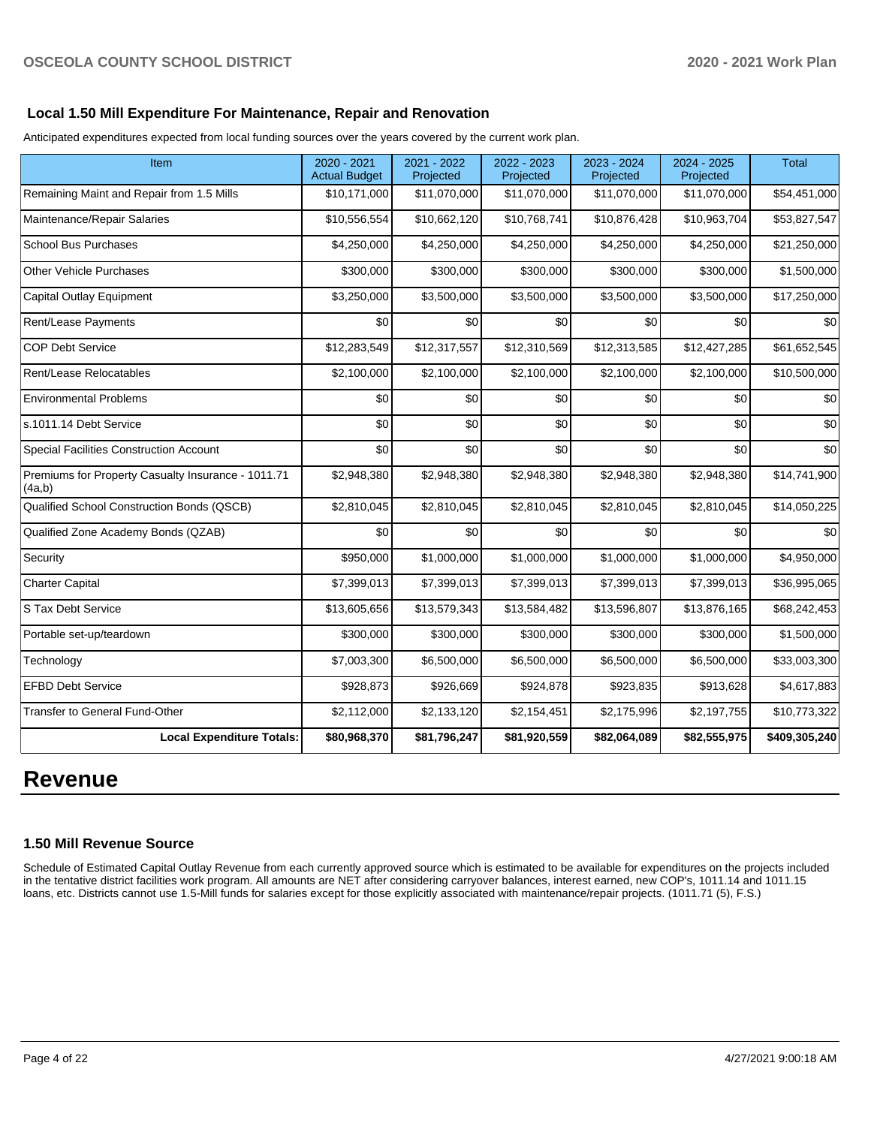## **Local 1.50 Mill Expenditure For Maintenance, Repair and Renovation**

Anticipated expenditures expected from local funding sources over the years covered by the current work plan.

| Item                                                         | 2020 - 2021<br><b>Actual Budget</b> | 2021 - 2022<br>Projected | 2022 - 2023<br>Projected | 2023 - 2024<br>Projected | 2024 - 2025<br>Projected | <b>Total</b>  |
|--------------------------------------------------------------|-------------------------------------|--------------------------|--------------------------|--------------------------|--------------------------|---------------|
| Remaining Maint and Repair from 1.5 Mills                    | \$10,171,000                        | \$11,070,000             | \$11,070,000             | \$11,070,000             | \$11,070,000             | \$54,451,000  |
| Maintenance/Repair Salaries                                  | \$10,556,554                        | \$10,662,120             | \$10,768,741             | \$10,876,428             | \$10,963,704             | \$53,827,547  |
| <b>School Bus Purchases</b>                                  | \$4,250,000                         | \$4,250,000              | \$4,250,000              | \$4,250,000              | \$4,250,000              | \$21,250,000  |
| Other Vehicle Purchases                                      | \$300,000                           | \$300,000                | \$300,000                | \$300,000                | \$300,000                | \$1,500,000   |
| <b>Capital Outlay Equipment</b>                              | \$3,250,000                         | \$3,500,000              | \$3,500,000              | \$3,500,000              | \$3,500,000              | \$17,250,000  |
| Rent/Lease Payments                                          | \$0                                 | \$0                      | \$0                      | \$0                      | \$0                      | \$0           |
| <b>COP Debt Service</b>                                      | \$12,283,549                        | \$12,317,557             | \$12,310,569             | \$12,313,585             | \$12,427,285             | \$61,652,545  |
| Rent/Lease Relocatables                                      | \$2,100,000                         | \$2,100,000              | \$2,100,000              | \$2,100,000              | \$2,100,000              | \$10,500,000  |
| <b>Environmental Problems</b>                                | \$0                                 | \$0                      | \$0                      | \$0                      | \$0                      | \$0           |
| s.1011.14 Debt Service                                       | \$0                                 | \$0                      | \$0                      | \$0                      | \$0                      | \$0           |
| Special Facilities Construction Account                      | \$0                                 | \$0                      | \$0                      | \$0                      | \$0                      | \$0           |
| Premiums for Property Casualty Insurance - 1011.71<br>(4a,b) | \$2,948,380                         | \$2,948,380              | \$2,948,380              | \$2,948,380              | \$2,948,380              | \$14,741,900  |
| Qualified School Construction Bonds (QSCB)                   | \$2,810,045                         | \$2,810,045              | \$2,810,045              | \$2,810,045              | \$2,810,045              | \$14,050,225  |
| Qualified Zone Academy Bonds (QZAB)                          | \$0                                 | \$0                      | \$0                      | \$0                      | \$0                      | \$0           |
| Security                                                     | \$950,000                           | \$1,000,000              | \$1,000,000              | \$1,000,000              | \$1,000,000              | \$4,950,000   |
| <b>Charter Capital</b>                                       | \$7,399,013                         | \$7,399,013              | \$7,399,013              | \$7,399,013              | \$7,399,013              | \$36,995,065  |
| S Tax Debt Service                                           | \$13,605,656                        | \$13,579,343             | \$13,584,482             | \$13,596,807             | \$13,876,165             | \$68,242,453  |
| Portable set-up/teardown                                     | \$300,000                           | \$300,000                | \$300,000                | \$300,000                | \$300,000                | \$1,500,000   |
| Technology                                                   | \$7,003,300                         | \$6,500,000              | \$6,500,000              | \$6,500,000              | \$6,500,000              | \$33,003,300  |
| <b>EFBD Debt Service</b>                                     | \$928,873                           | \$926,669                | \$924,878                | \$923,835                | \$913,628                | \$4,617,883   |
| <b>Transfer to General Fund-Other</b>                        | \$2,112,000                         | \$2,133,120              | \$2,154,451              | \$2,175,996              | \$2,197,755              | \$10,773,322  |
| <b>Local Expenditure Totals:</b>                             | \$80,968,370                        | \$81,796,247             | \$81,920,559             | \$82,064,089             | \$82,555,975             | \$409,305,240 |

# **Revenue**

# **1.50 Mill Revenue Source**

Schedule of Estimated Capital Outlay Revenue from each currently approved source which is estimated to be available for expenditures on the projects included in the tentative district facilities work program. All amounts are NET after considering carryover balances, interest earned, new COP's, 1011.14 and 1011.15 loans, etc. Districts cannot use 1.5-Mill funds for salaries except for those explicitly associated with maintenance/repair projects. (1011.71 (5), F.S.)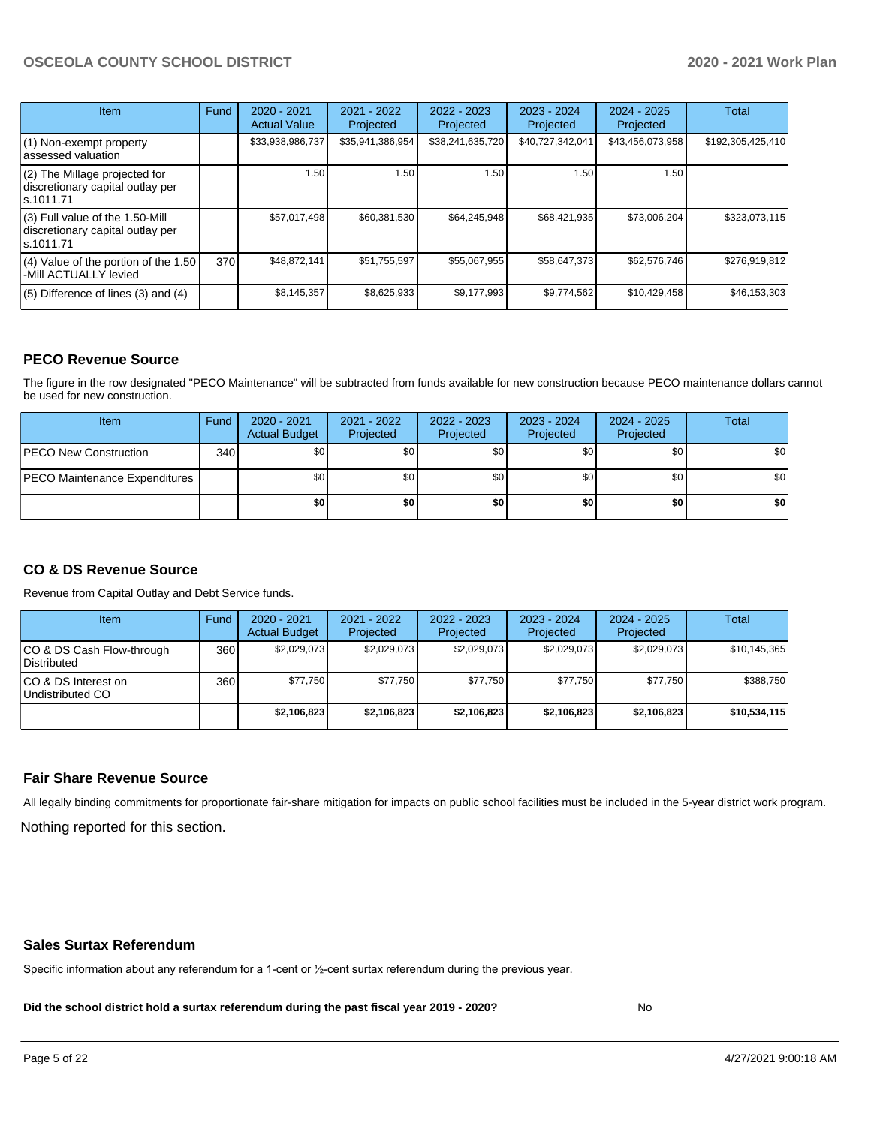| Item                                                                                | Fund | $2020 - 2021$<br><b>Actual Value</b> | 2021 - 2022<br>Projected | $2022 - 2023$<br>Projected | $2023 - 2024$<br>Projected | $2024 - 2025$<br>Projected | <b>Total</b>      |
|-------------------------------------------------------------------------------------|------|--------------------------------------|--------------------------|----------------------------|----------------------------|----------------------------|-------------------|
| $(1)$ Non-exempt property<br>lassessed valuation                                    |      | \$33,938,986,737                     | \$35,941,386,954         | \$38,241,635,720           | \$40,727,342,041           | \$43,456,073,958           | \$192,305,425,410 |
| $(2)$ The Millage projected for<br>discretionary capital outlay per<br>ls.1011.71   |      | 1.50                                 | 1.50                     | 1.50                       | 1.50                       | 1.50                       |                   |
| $(3)$ Full value of the 1.50-Mill<br>discretionary capital outlay per<br>ls.1011.71 |      | \$57,017,498                         | \$60,381,530             | \$64,245,948               | \$68,421,935               | \$73,006,204               | \$323,073,115     |
| $(4)$ Value of the portion of the 1.50<br>-Mill ACTUALLY levied                     | 370I | \$48,872,141                         | \$51,755,597             | \$55,067,955               | \$58,647,373               | \$62,576,746               | \$276,919,812     |
| $(5)$ Difference of lines $(3)$ and $(4)$                                           |      | \$8,145,357                          | \$8,625,933              | \$9,177,993                | \$9,774,562                | \$10,429,458               | \$46,153,303      |

#### **PECO Revenue Source**

The figure in the row designated "PECO Maintenance" will be subtracted from funds available for new construction because PECO maintenance dollars cannot be used for new construction.

| Item                                 | Fund | $2020 - 2021$<br><b>Actual Budget</b> | 2021 - 2022<br>Projected | 2022 - 2023<br>Projected | 2023 - 2024<br>Projected | 2024 - 2025<br>Projected | Total            |
|--------------------------------------|------|---------------------------------------|--------------------------|--------------------------|--------------------------|--------------------------|------------------|
| <b>PECO New Construction</b>         | 340  | \$0                                   | \$0 <sub>1</sub>         | \$0                      | \$0 <sub>0</sub>         | \$0 <sub>1</sub>         | \$0 <sub>1</sub> |
| <b>PECO Maintenance Expenditures</b> |      | ا 30                                  | \$٥١                     | \$0                      | \$0 <sub>1</sub>         | \$0                      | \$0              |
|                                      |      | \$0                                   | \$0                      | \$0                      | \$0                      | \$0                      | \$0              |

# **CO & DS Revenue Source**

Revenue from Capital Outlay and Debt Service funds.

| <b>Item</b>                               | Fund | $2020 - 2021$<br><b>Actual Budget</b> | 2021 - 2022<br>Projected | 2022 - 2023<br>Projected | $2023 - 2024$<br>Projected | $2024 - 2025$<br>Projected | Total          |
|-------------------------------------------|------|---------------------------------------|--------------------------|--------------------------|----------------------------|----------------------------|----------------|
| ICO & DS Cash Flow-through<br>Distributed | 360  | \$2.029.073                           | \$2,029,073              | \$2,029,073              | \$2.029.073                | \$2,029,073                | \$10, 145, 365 |
| ICO & DS Interest on<br>Undistributed CO  | 360  | \$77.750                              | \$77.750                 | \$77.750                 | \$77.750                   | \$77.750                   | \$388,750      |
|                                           |      | \$2,106,823                           | \$2,106,823              | \$2,106,823              | \$2,106,823                | \$2,106,823                | \$10,534,115   |

#### **Fair Share Revenue Source**

Nothing reported for this section. All legally binding commitments for proportionate fair-share mitigation for impacts on public school facilities must be included in the 5-year district work program.

#### **Sales Surtax Referendum**

Specific information about any referendum for a 1-cent or ½-cent surtax referendum during the previous year.

**Did the school district hold a surtax referendum during the past fiscal year 2019 - 2020?**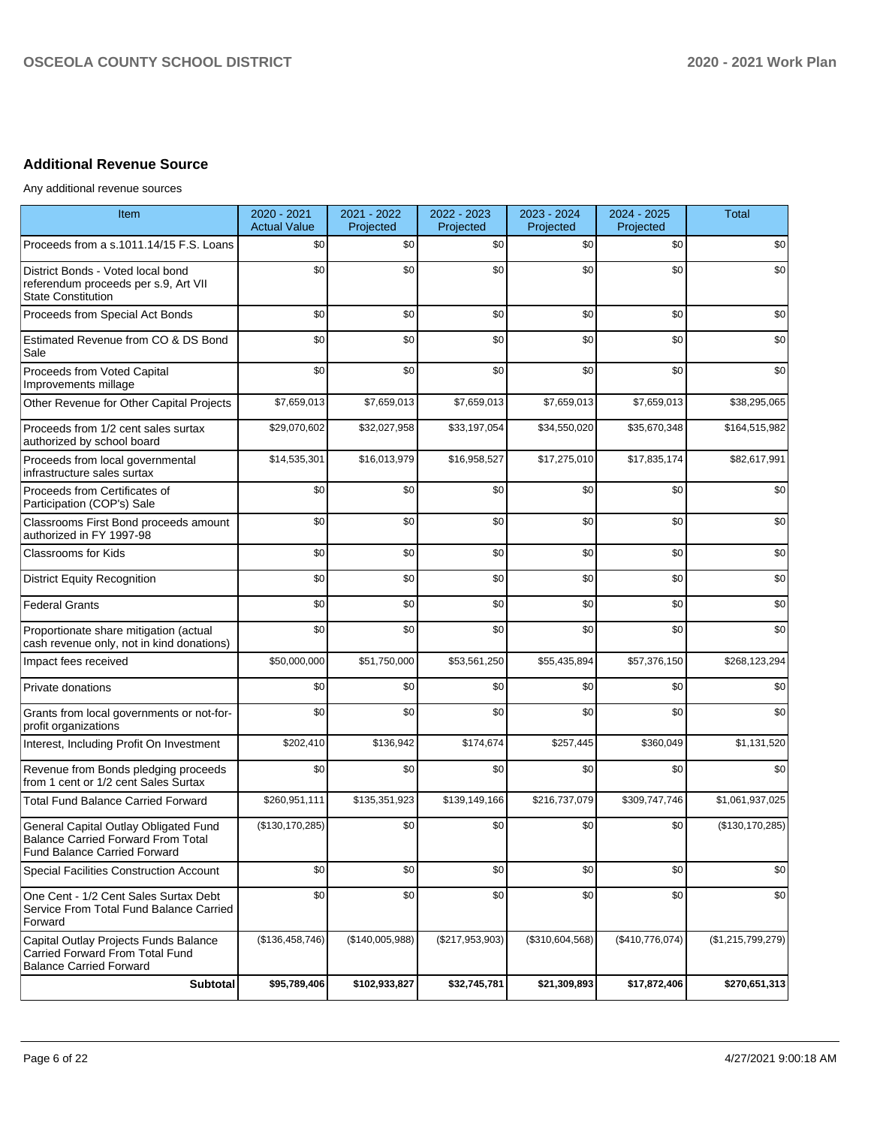# **Additional Revenue Source**

Any additional revenue sources

| Item                                                                                                                      | 2020 - 2021<br><b>Actual Value</b> | 2021 - 2022<br>Projected | 2022 - 2023<br>Projected | 2023 - 2024<br>Projected | 2024 - 2025<br>Projected | <b>Total</b>      |
|---------------------------------------------------------------------------------------------------------------------------|------------------------------------|--------------------------|--------------------------|--------------------------|--------------------------|-------------------|
| Proceeds from a s.1011.14/15 F.S. Loans                                                                                   | \$0                                | \$0                      | \$0                      | \$0                      | \$0                      | \$0               |
| District Bonds - Voted local bond<br>referendum proceeds per s.9, Art VII<br><b>State Constitution</b>                    | \$0                                | \$0                      | \$0                      | \$0                      | \$0                      | \$0               |
| Proceeds from Special Act Bonds                                                                                           | \$0                                | \$0                      | \$0                      | \$0                      | \$0                      | \$0               |
| Estimated Revenue from CO & DS Bond<br>Sale                                                                               | \$0                                | \$0                      | \$0                      | \$0                      | \$0                      | \$0               |
| Proceeds from Voted Capital<br>Improvements millage                                                                       | \$0                                | \$0                      | \$0                      | \$0                      | \$0                      | \$0               |
| Other Revenue for Other Capital Projects                                                                                  | \$7,659,013                        | \$7,659,013              | \$7,659,013              | \$7,659,013              | \$7,659,013              | \$38,295,065      |
| Proceeds from 1/2 cent sales surtax<br>authorized by school board                                                         | \$29,070,602                       | \$32,027,958             | \$33,197,054             | \$34,550,020             | \$35,670,348             | \$164,515,982     |
| Proceeds from local governmental<br>infrastructure sales surtax                                                           | \$14,535,301                       | \$16,013,979             | \$16,958,527             | \$17,275,010             | \$17,835,174             | \$82,617,991      |
| Proceeds from Certificates of<br>Participation (COP's) Sale                                                               | \$0                                | \$0                      | \$0                      | \$0                      | \$0                      | \$0               |
| Classrooms First Bond proceeds amount<br>authorized in FY 1997-98                                                         | \$0                                | \$0                      | \$0                      | \$0                      | \$0                      | \$0               |
| <b>Classrooms for Kids</b>                                                                                                | \$0                                | \$0                      | \$0                      | \$0                      | \$0                      | \$0               |
| <b>District Equity Recognition</b>                                                                                        | \$0                                | \$0                      | \$0                      | \$0                      | \$0                      | \$0               |
| <b>Federal Grants</b>                                                                                                     | \$0                                | \$0                      | \$0                      | \$0                      | \$0                      | \$0               |
| Proportionate share mitigation (actual<br>cash revenue only, not in kind donations)                                       | \$0                                | \$0                      | \$0                      | \$0                      | \$0                      | \$0               |
| Impact fees received                                                                                                      | \$50,000,000                       | \$51,750,000             | \$53,561,250             | \$55,435,894             | \$57,376,150             | \$268,123,294     |
| Private donations                                                                                                         | \$0                                | \$0                      | \$0                      | \$0                      | \$0                      | \$0               |
| Grants from local governments or not-for-<br>profit organizations                                                         | \$0                                | \$0                      | \$0                      | \$0                      | \$0                      | \$0               |
| Interest, Including Profit On Investment                                                                                  | \$202,410                          | \$136,942                | \$174,674                | \$257,445                | \$360,049                | \$1,131,520       |
| Revenue from Bonds pledging proceeds<br>from 1 cent or 1/2 cent Sales Surtax                                              | \$0                                | \$0                      | \$0                      | \$0                      | \$0                      | \$0               |
| <b>Total Fund Balance Carried Forward</b>                                                                                 | \$260,951,111                      | \$135,351,923            | \$139,149,166            | \$216,737,079            | \$309,747,746            | \$1,061,937,025   |
| General Capital Outlay Obligated Fund<br><b>Balance Carried Forward From Total</b><br><b>Fund Balance Carried Forward</b> | (\$130, 170, 285)                  | \$0                      | \$0                      | \$0                      | \$0                      | (\$130, 170, 285) |
| <b>Special Facilities Construction Account</b>                                                                            | \$0                                | \$0                      | \$0                      | \$0                      | \$0                      | \$0               |
| One Cent - 1/2 Cent Sales Surtax Debt<br>Service From Total Fund Balance Carried<br>Forward                               | \$0                                | \$0                      | \$0                      | \$0                      | \$0                      | \$0               |
| Capital Outlay Projects Funds Balance<br>Carried Forward From Total Fund<br><b>Balance Carried Forward</b>                | (\$136,458,746)                    | (\$140,005,988)          | (\$217,953,903)          | (\$310,604,568)          | (\$410,776,074)          | (\$1,215,799,279) |
| <b>Subtotal</b>                                                                                                           | \$95,789,406                       | \$102,933,827            | \$32,745,781             | \$21,309,893             | \$17,872,406             | \$270,651,313     |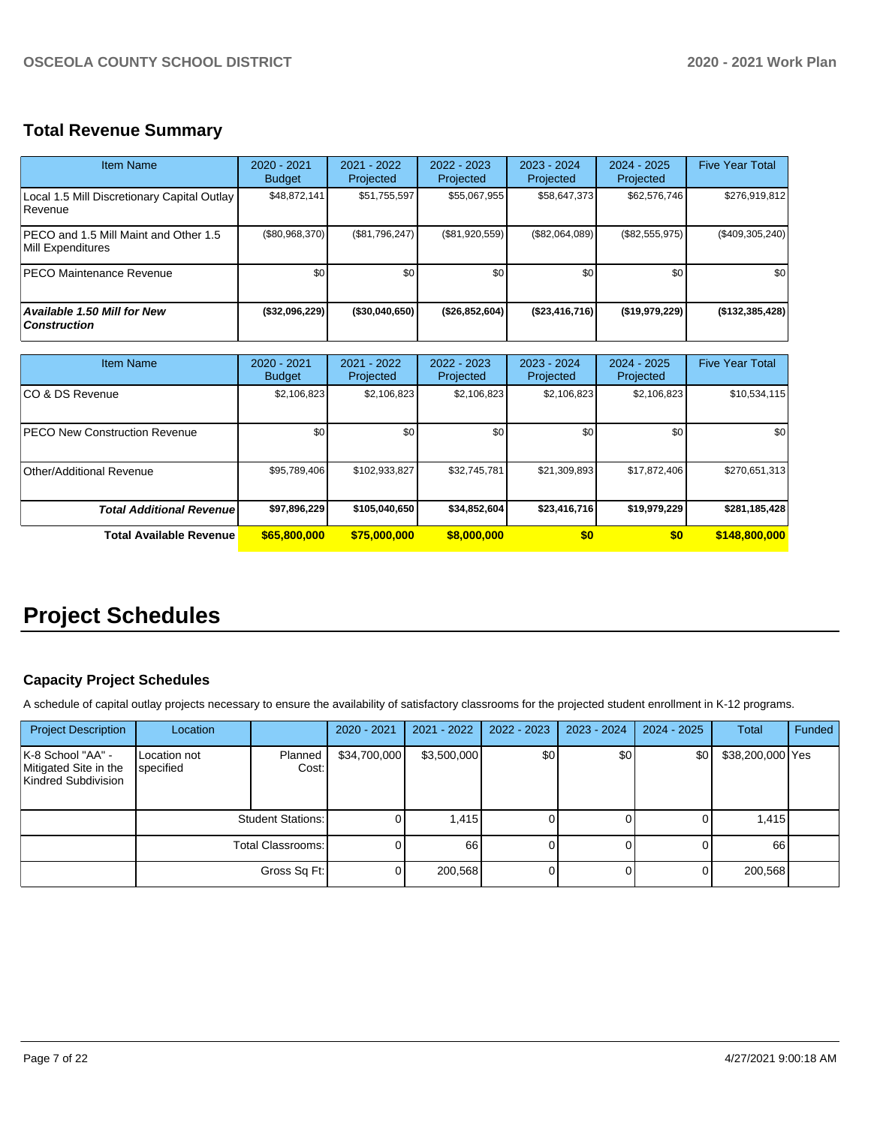# **Total Revenue Summary**

| Item Name                                                  | $2020 - 2021$<br><b>Budget</b> | 2021 - 2022<br>Projected | $2022 - 2023$<br>Projected | $2023 - 2024$<br>Projected | $2024 - 2025$<br>Projected | <b>Five Year Total</b> |
|------------------------------------------------------------|--------------------------------|--------------------------|----------------------------|----------------------------|----------------------------|------------------------|
| Local 1.5 Mill Discretionary Capital Outlay<br>Revenue     | \$48.872.141                   | \$51,755,597             | \$55,067,955               | \$58,647,373               | \$62,576,746               | \$276,919,812          |
| PECO and 1.5 Mill Maint and Other 1.5<br>Mill Expenditures | (\$80,968,370)                 | (\$81,796,247)           | (\$81,920,559)             | (\$82,064,089)             | (\$82,555,975)             | (\$409,305,240)        |
| <b>PECO Maintenance Revenue</b>                            | \$0                            | \$0                      | \$0                        | \$0                        | \$0                        | \$0                    |
| <b>Available 1.50 Mill for New</b><br><b>Construction</b>  | (\$32,096,229)                 | $($ \$30.040.650)        | (\$26,852,604)             | (\$23,416,716)             | (S19.979.229)              | (\$132,385,428)        |

| <b>Item Name</b>                      | 2020 - 2021<br><b>Budget</b> | $2021 - 2022$<br>Projected | $2022 - 2023$<br>Projected | $2023 - 2024$<br>Projected | $2024 - 2025$<br>Projected | <b>Five Year Total</b> |
|---------------------------------------|------------------------------|----------------------------|----------------------------|----------------------------|----------------------------|------------------------|
| ICO & DS Revenue                      | \$2,106,823                  | \$2,106,823                | \$2,106,823                | \$2,106,823                | \$2,106,823                | \$10,534,115           |
| <b>IPECO New Construction Revenue</b> | \$0                          | \$0                        | \$0                        | \$0                        | \$0                        | \$0                    |
| Other/Additional Revenue              | \$95,789,406                 | \$102,933,827              | \$32,745,781               | \$21,309,893               | \$17,872,406               | \$270.651.313          |
| <b>Total Additional Revenuel</b>      | \$97,896,229                 | \$105,040,650              | \$34,852,604               | \$23,416,716               | \$19,979,229               | \$281,185,428          |
| Total Available Revenue               | \$65,800,000                 | \$75,000,000               | \$8,000,000                | \$0                        | \$0                        | \$148,800,000          |

# **Project Schedules**

# **Capacity Project Schedules**

A schedule of capital outlay projects necessary to ensure the availability of satisfactory classrooms for the projected student enrollment in K-12 programs.

| <b>Project Description</b>                                        | Location                  |                          | 2020 - 2021    | $2021 - 2022$ | 2022 - 2023 | $2023 - 2024$ | $2024 - 2025$ | Total            | Funded |
|-------------------------------------------------------------------|---------------------------|--------------------------|----------------|---------------|-------------|---------------|---------------|------------------|--------|
| K-8 School "AA" -<br>Mitigated Site in the<br>Kindred Subdivision | Location not<br>specified | Planned<br>Cost:         | \$34,700,000   | \$3,500,000   | \$0         | \$0           | \$0           | \$38,200,000 Yes |        |
|                                                                   |                           | <b>Student Stations:</b> | 01             | 1,415         |             |               |               | 1,415            |        |
|                                                                   | Total Classrooms:         |                          | 01             | 66            |             |               |               | 66               |        |
|                                                                   |                           | Gross Sq Ft:             | $\overline{0}$ | 200,568       |             |               |               | 200,568          |        |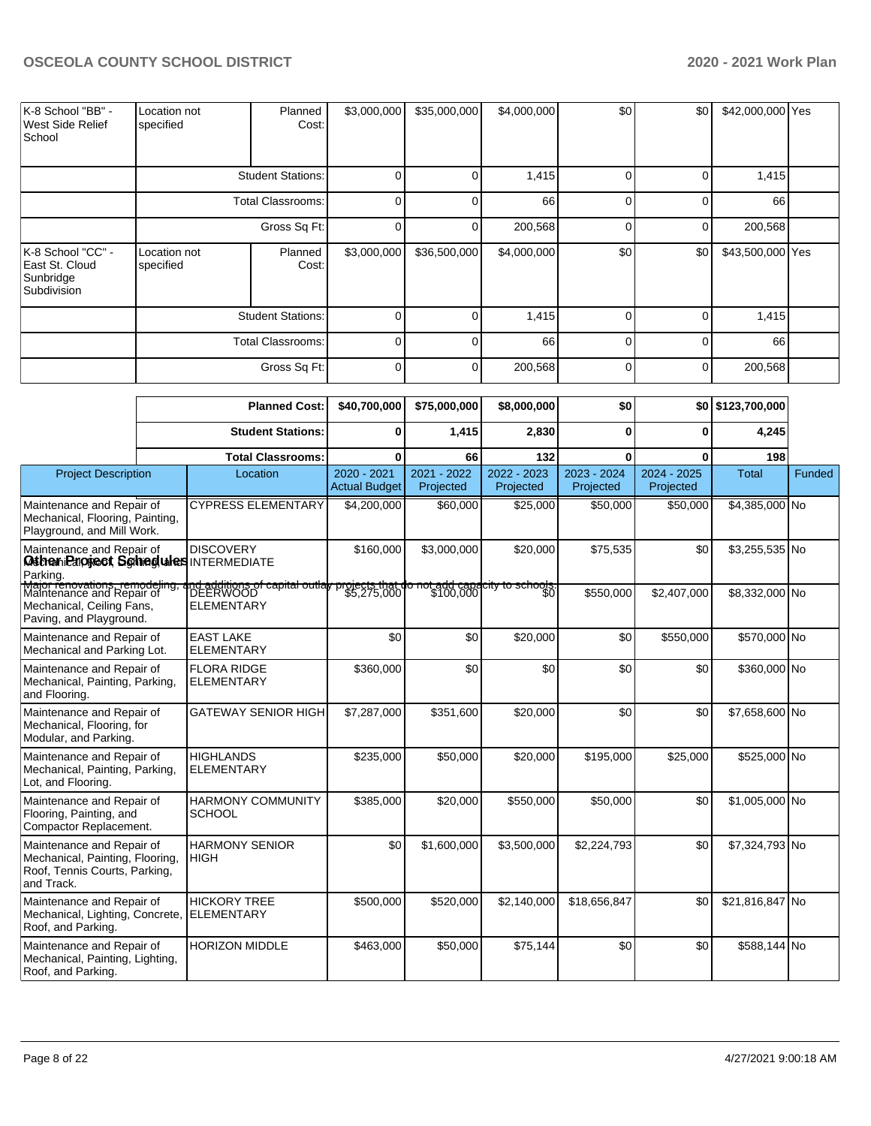| K-8 School "BB" -<br>West Side Relief<br>School                 | Location not<br>specified                            | Planned<br>Cost:         | \$3,000,000 | \$35,000,000 | \$4,000,000 | \$0      | \$0      | \$42,000,000 Yes |  |
|-----------------------------------------------------------------|------------------------------------------------------|--------------------------|-------------|--------------|-------------|----------|----------|------------------|--|
|                                                                 | <b>Student Stations:</b>                             |                          | 0           |              | 1,415       |          |          | 1,415            |  |
|                                                                 |                                                      | <b>Total Classrooms:</b> | 0           |              | 66          | $\Omega$ | $\Omega$ | 66               |  |
|                                                                 |                                                      | Gross Sq Ft:             | 0           | 0            | 200,568     | ∩        | 0        | 200,568          |  |
| K-8 School "CC" -<br>East St. Cloud<br>Sunbridge<br>Subdivision | Location not<br>specified                            | Planned<br>Cost:         | \$3,000,000 | \$36,500,000 | \$4,000,000 | \$0      | \$0      | \$43,500,000 Yes |  |
|                                                                 | <b>Student Stations:</b><br><b>Total Classrooms:</b> |                          | 0           |              | 1,415       |          | 0        | 1,415            |  |
|                                                                 |                                                      |                          | U           | U            | 66          | $\Omega$ | $\Omega$ | 66               |  |
|                                                                 |                                                      | Gross Sq Ft:             | $\Omega$    | ∩            | 200,568     |          | $\Omega$ | 200,568          |  |

|                                                                                                                     |  | <b>Planned Cost:</b>                                               | \$40,700,000                        | \$75,000,000                                                      | \$8,000,000                 | \$0                      |                            | \$0 \$123,700,000 |        |
|---------------------------------------------------------------------------------------------------------------------|--|--------------------------------------------------------------------|-------------------------------------|-------------------------------------------------------------------|-----------------------------|--------------------------|----------------------------|-------------------|--------|
|                                                                                                                     |  | <b>Student Stations:</b>                                           | $\bf{0}$                            | 1,415                                                             | 2,830                       | $\bf{0}$                 | $\bf{0}$                   | 4,245             |        |
|                                                                                                                     |  | <b>Total Classrooms:</b>                                           | $\bf{0}$                            | 66                                                                | 132                         | $\bf{0}$                 | $\bf{0}$                   | 198               |        |
| <b>Project Description</b>                                                                                          |  | Location                                                           | 2020 - 2021<br><b>Actual Budget</b> | 2021 - 2022<br>Projected                                          | 2022 - 2023<br>Projected    | 2023 - 2024<br>Projected | $2024 - 2025$<br>Projected | <b>Total</b>      | Funded |
| Maintenance and Repair of<br>Mechanical, Flooring, Painting,<br>Playground, and Mill Work.                          |  | <b>CYPRESS ELEMENTARY</b>                                          | \$4,200,000                         | \$60,000                                                          | \$25,000                    | \$50,000                 | \$50,000                   | \$4,385,000 No    |        |
| Maintenance and Repair of<br>Otten Prioriect Schiedules INTERMEDIATE<br>Parking.                                    |  | <b>DISCOVERY</b>                                                   | \$160,000                           | \$3,000,000                                                       | \$20,000                    | \$75,535                 | \$0                        | \$3,255,535 No    |        |
| Major renovations, remodeling,<br>Maintenance and Repair of<br>Mechanical, Ceiling Fans,<br>Paving, and Playground. |  | nd additions of capital outla <b>l</b> y<br>DEERWOOD<br>ELEMENTARY |                                     | <del>projects that do not add capa</del><br>\$5,275,000 \$100,000 | <del>city to schools.</del> | \$550,000                | \$2,407,000                | \$8,332,000 No    |        |
| Maintenance and Repair of<br>Mechanical and Parking Lot.                                                            |  | <b>EAST LAKE</b><br><b>ELEMENTARY</b>                              | \$0                                 | \$0                                                               | \$20,000                    | \$0                      | \$550,000                  | \$570,000 No      |        |
| Maintenance and Repair of<br>Mechanical, Painting, Parking,<br>and Flooring.                                        |  | <b>FLORA RIDGE</b><br><b>ELEMENTARY</b>                            | \$360,000                           | \$0                                                               | \$0                         | \$0                      | \$0                        | \$360,000 No      |        |
| Maintenance and Repair of<br>Mechanical, Flooring, for<br>Modular, and Parking.                                     |  | <b>GATEWAY SENIOR HIGH</b>                                         | \$7,287,000                         | \$351,600                                                         | \$20,000                    | \$0                      | \$0                        | \$7,658,600 No    |        |
| Maintenance and Repair of<br>Mechanical, Painting, Parking,<br>Lot, and Flooring.                                   |  | <b>HIGHLANDS</b><br><b>ELEMENTARY</b>                              | \$235,000                           | \$50,000                                                          | \$20,000                    | \$195,000                | \$25,000                   | \$525,000 No      |        |
| Maintenance and Repair of<br>Flooring, Painting, and<br>Compactor Replacement.                                      |  | <b>HARMONY COMMUNITY</b><br><b>SCHOOL</b>                          | \$385,000                           | \$20,000                                                          | \$550,000                   | \$50,000                 | \$0                        | \$1,005,000 No    |        |
| Maintenance and Repair of<br>Mechanical, Painting, Flooring,<br>Roof, Tennis Courts, Parking,<br>and Track.         |  | <b>HARMONY SENIOR</b><br><b>HIGH</b>                               | \$0                                 | \$1,600,000                                                       | \$3,500,000                 | \$2,224,793              | \$0                        | \$7,324,793 No    |        |
| Maintenance and Repair of<br>Mechanical, Lighting, Concrete,<br>Roof, and Parking.                                  |  | <b>HICKORY TREE</b><br><b>ELEMENTARY</b>                           | \$500,000                           | \$520,000                                                         | \$2.140.000                 | \$18.656.847             | \$0                        | \$21.816.847 No   |        |
| Maintenance and Repair of<br>Mechanical, Painting, Lighting,<br>Roof, and Parking.                                  |  | <b>HORIZON MIDDLE</b>                                              | \$463,000                           | \$50,000                                                          | \$75,144                    | \$0                      | \$0                        | \$588,144 No      |        |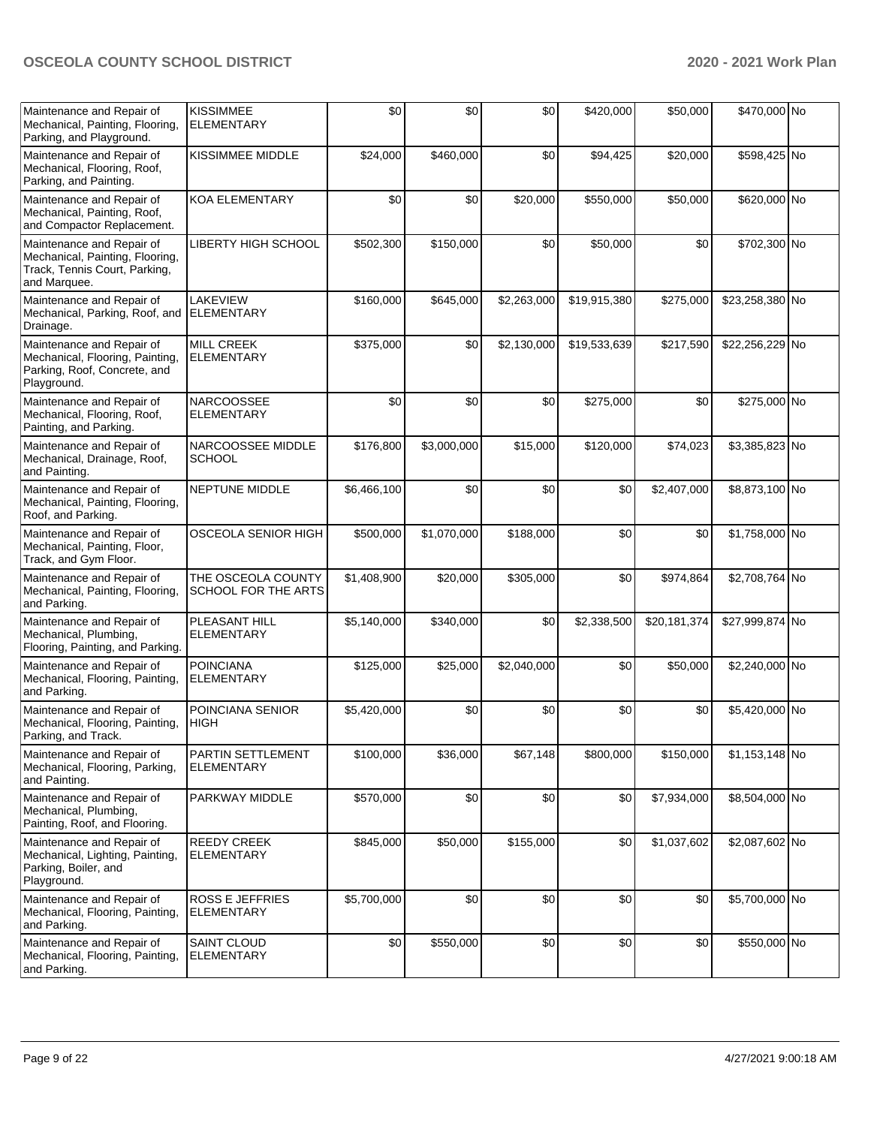| Maintenance and Repair of<br>Mechanical, Painting, Flooring,<br>Parking, and Playground.                      | <b>KISSIMMEE</b><br><b>ELEMENTARY</b>     | \$0         | \$0         | \$0         | \$420,000    | \$50,000     | \$470,000 No    |  |
|---------------------------------------------------------------------------------------------------------------|-------------------------------------------|-------------|-------------|-------------|--------------|--------------|-----------------|--|
| Maintenance and Repair of<br>Mechanical, Flooring, Roof,<br>Parking, and Painting.                            | <b>KISSIMMEE MIDDLE</b>                   | \$24,000    | \$460,000   | \$0         | \$94,425     | \$20,000     | \$598,425 No    |  |
| Maintenance and Repair of<br>Mechanical, Painting, Roof,<br>and Compactor Replacement.                        | <b>KOA ELEMENTARY</b>                     | \$0         | \$0         | \$20,000    | \$550,000    | \$50,000     | \$620,000 No    |  |
| Maintenance and Repair of<br>Mechanical, Painting, Flooring,<br>Track, Tennis Court, Parking,<br>and Marquee. | LIBERTY HIGH SCHOOL                       | \$502,300   | \$150,000   | \$0         | \$50,000     | \$0          | \$702,300 No    |  |
| Maintenance and Repair of<br>Mechanical, Parking, Roof, and<br>Drainage.                                      | LAKEVIEW<br><b>ELEMENTARY</b>             | \$160,000   | \$645,000   | \$2,263,000 | \$19,915,380 | \$275,000    | \$23,258,380 No |  |
| Maintenance and Repair of<br>Mechanical, Flooring, Painting,<br>Parking, Roof, Concrete, and<br>Playground.   | <b>MILL CREEK</b><br><b>ELEMENTARY</b>    | \$375,000   | \$0         | \$2,130,000 | \$19,533,639 | \$217,590    | \$22,256,229 No |  |
| Maintenance and Repair of<br>Mechanical, Flooring, Roof,<br>Painting, and Parking.                            | <b>NARCOOSSEE</b><br><b>ELEMENTARY</b>    | \$0         | \$0         | \$0         | \$275,000    | \$0          | \$275,000 No    |  |
| Maintenance and Repair of<br>Mechanical, Drainage, Roof,<br>and Painting.                                     | NARCOOSSEE MIDDLE<br><b>SCHOOL</b>        | \$176,800   | \$3,000,000 | \$15,000    | \$120,000    | \$74,023     | \$3,385,823 No  |  |
| Maintenance and Repair of<br>Mechanical, Painting, Flooring,<br>Roof, and Parking.                            | <b>NEPTUNE MIDDLE</b>                     | \$6,466,100 | \$0         | \$0         | \$0          | \$2,407,000  | \$8,873,100 No  |  |
| Maintenance and Repair of<br>Mechanical, Painting, Floor,<br>Track, and Gym Floor.                            | OSCEOLA SENIOR HIGH                       | \$500,000   | \$1,070,000 | \$188,000   | \$0          | \$0          | \$1,758,000 No  |  |
| Maintenance and Repair of<br>Mechanical, Painting, Flooring,<br>and Parking.                                  | THE OSCEOLA COUNTY<br>SCHOOL FOR THE ARTS | \$1,408,900 | \$20,000    | \$305,000   | \$0          | \$974,864    | \$2,708,764 No  |  |
| Maintenance and Repair of<br>Mechanical, Plumbing,<br>Flooring, Painting, and Parking.                        | PLEASANT HILL<br><b>ELEMENTARY</b>        | \$5,140,000 | \$340,000   | \$0         | \$2,338,500  | \$20,181,374 | \$27,999,874 No |  |
| Maintenance and Repair of<br>Mechanical, Flooring, Painting,<br>and Parking.                                  | <b>POINCIANA</b><br>ELEMENTARY            | \$125,000   | \$25,000    | \$2,040,000 | \$0          | \$50,000     | \$2,240,000 No  |  |
| Maintenance and Repair of<br>Mechanical, Flooring, Painting,<br>Parking, and Track.                           | POINCIANA SENIOR<br>HIGH                  | \$5,420,000 | \$0         | \$0         | \$0          | \$0          | \$5,420,000 No  |  |
| Maintenance and Repair of<br>Mechanical, Flooring, Parking,<br>and Painting.                                  | PARTIN SETTLEMENT<br>ELEMENTARY           | \$100,000   | \$36,000    | \$67,148    | \$800,000    | \$150,000    | \$1,153,148 No  |  |
| Maintenance and Repair of<br>Mechanical, Plumbing,<br>Painting, Roof, and Flooring.                           | PARKWAY MIDDLE                            | \$570,000   | \$0         | \$0         | \$0          | \$7,934,000  | \$8,504,000 No  |  |
| Maintenance and Repair of<br>Mechanical, Lighting, Painting,<br>Parking, Boiler, and<br>Playground.           | <b>REEDY CREEK</b><br>ELEMENTARY          | \$845,000   | \$50,000    | \$155,000   | \$0          | \$1,037,602  | \$2,087,602 No  |  |
| Maintenance and Repair of<br>Mechanical, Flooring, Painting,<br>and Parking.                                  | <b>ROSS E JEFFRIES</b><br>ELEMENTARY      | \$5,700,000 | \$0         | \$0         | \$0          | \$0          | \$5,700,000 No  |  |
| Maintenance and Repair of<br>Mechanical, Flooring, Painting,<br>and Parking.                                  | <b>SAINT CLOUD</b><br><b>ELEMENTARY</b>   | \$0         | \$550,000   | \$0         | \$0          | \$0          | \$550,000 No    |  |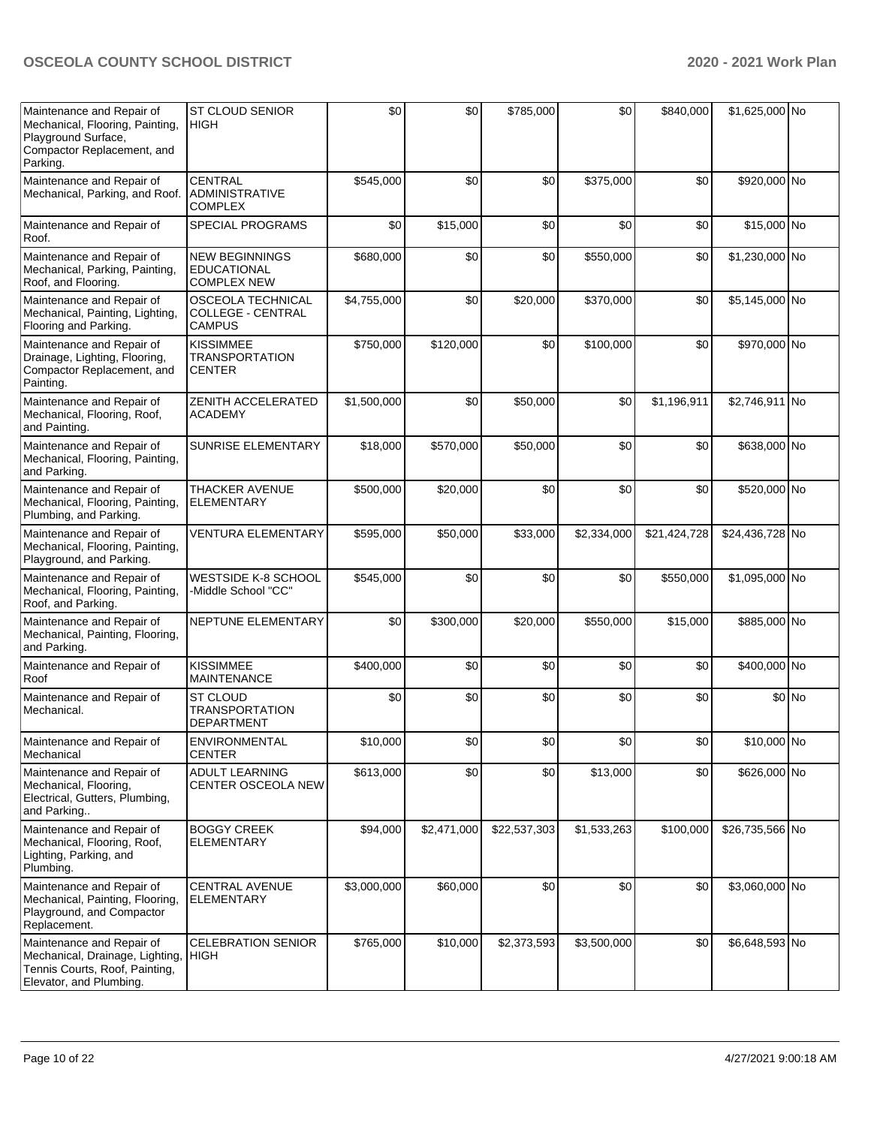| Maintenance and Repair of<br>Mechanical, Flooring, Painting,<br>Playground Surface,<br>Compactor Replacement, and<br>Parking. | ST CLOUD SENIOR<br><b>HIGH</b>                                        | \$0         | \$0         | \$785,000    | \$0         | \$840,000    | \$1,625,000 No  |         |
|-------------------------------------------------------------------------------------------------------------------------------|-----------------------------------------------------------------------|-------------|-------------|--------------|-------------|--------------|-----------------|---------|
| Maintenance and Repair of<br>Mechanical, Parking, and Roof.                                                                   | <b>CENTRAL</b><br><b>ADMINISTRATIVE</b><br><b>COMPLEX</b>             | \$545,000   | \$0         | \$0          | \$375,000   | \$0          | \$920,000 No    |         |
| Maintenance and Repair of<br>Roof.                                                                                            | <b>SPECIAL PROGRAMS</b>                                               | \$0         | \$15,000    | \$0          | \$0         | \$0          | \$15,000 No     |         |
| Maintenance and Repair of<br>Mechanical, Parking, Painting,<br>Roof, and Flooring.                                            | <b>NEW BEGINNINGS</b><br><b>EDUCATIONAL</b><br><b>COMPLEX NEW</b>     | \$680,000   | \$0         | \$0          | \$550,000   | \$0          | \$1,230,000 No  |         |
| Maintenance and Repair of<br>Mechanical, Painting, Lighting,<br>Flooring and Parking.                                         | <b>OSCEOLA TECHNICAL</b><br><b>COLLEGE - CENTRAL</b><br><b>CAMPUS</b> | \$4,755,000 | \$0         | \$20,000     | \$370,000   | \$0          | \$5,145,000 No  |         |
| Maintenance and Repair of<br>Drainage, Lighting, Flooring,<br>Compactor Replacement, and<br>Painting.                         | <b>KISSIMMEE</b><br><b>TRANSPORTATION</b><br><b>CENTER</b>            | \$750,000   | \$120,000   | \$0          | \$100,000   | \$0          | \$970,000 No    |         |
| Maintenance and Repair of<br>Mechanical, Flooring, Roof,<br>and Painting.                                                     | ZENITH ACCELERATED<br><b>ACADEMY</b>                                  | \$1,500,000 | \$0         | \$50,000     | \$0         | \$1,196,911  | \$2,746,911 No  |         |
| Maintenance and Repair of<br>Mechanical, Flooring, Painting,<br>and Parking.                                                  | SUNRISE ELEMENTARY                                                    | \$18,000    | \$570,000   | \$50,000     | \$0         | \$0          | \$638,000 No    |         |
| Maintenance and Repair of<br>Mechanical, Flooring, Painting,<br>Plumbing, and Parking.                                        | <b>THACKER AVENUE</b><br><b>ELEMENTARY</b>                            | \$500,000   | \$20,000    | \$0          | \$0         | \$0          | \$520,000 No    |         |
| Maintenance and Repair of<br>Mechanical, Flooring, Painting,<br>Playground, and Parking.                                      | <b>VENTURA ELEMENTARY</b>                                             | \$595,000   | \$50,000    | \$33,000     | \$2,334,000 | \$21,424,728 | \$24,436,728 No |         |
| Maintenance and Repair of<br>Mechanical, Flooring, Painting,<br>Roof, and Parking.                                            | WESTSIDE K-8 SCHOOL<br>-Middle School "CC"                            | \$545,000   | \$0         | \$0          | \$0         | \$550,000    | \$1,095,000 No  |         |
| Maintenance and Repair of<br>Mechanical, Painting, Flooring,<br>and Parking.                                                  | NEPTUNE ELEMENTARY                                                    | \$0         | \$300,000   | \$20,000     | \$550,000   | \$15,000     | \$885,000 No    |         |
| Maintenance and Repair of<br>Roof                                                                                             | <b>KISSIMMEE</b><br><b>MAINTENANCE</b>                                | \$400,000   | \$0         | \$0          | \$0         | \$0          | \$400,000 No    |         |
| Maintenance and Repair of<br>Mechanical.                                                                                      | ST CLOUD<br><b>TRANSPORTATION</b><br><b>DEPARTMENT</b>                | \$0         | \$0         | \$0          | \$0         | \$0          |                 | $$0$ No |
| Maintenance and Repair of<br>Mechanical                                                                                       | <b>ENVIRONMENTAL</b><br><b>CENTER</b>                                 | \$10,000    | \$0         | \$0          | \$0         | \$0          | \$10,000 No     |         |
| Maintenance and Repair of<br>Mechanical, Flooring,<br>Electrical, Gutters, Plumbing,<br>and Parking                           | <b>ADULT LEARNING</b><br>CENTER OSCEOLA NEW                           | \$613,000   | \$0         | \$0          | \$13,000    | \$0          | \$626,000 No    |         |
| Maintenance and Repair of<br>Mechanical, Flooring, Roof,<br>Lighting, Parking, and<br>Plumbing.                               | <b>BOGGY CREEK</b><br><b>ELEMENTARY</b>                               | \$94,000    | \$2,471,000 | \$22,537,303 | \$1,533,263 | \$100,000    | \$26,735,566 No |         |
| Maintenance and Repair of<br>Mechanical, Painting, Flooring,<br>Playground, and Compactor<br>Replacement.                     | <b>CENTRAL AVENUE</b><br><b>ELEMENTARY</b>                            | \$3,000,000 | \$60,000    | \$0          | \$0         | \$0          | \$3,060,000 No  |         |
| Maintenance and Repair of<br>Mechanical, Drainage, Lighting,<br>Tennis Courts, Roof, Painting,<br>Elevator, and Plumbing.     | <b>CELEBRATION SENIOR</b><br>HIGH                                     | \$765,000   | \$10,000    | \$2,373,593  | \$3,500,000 | \$0          | \$6,648,593 No  |         |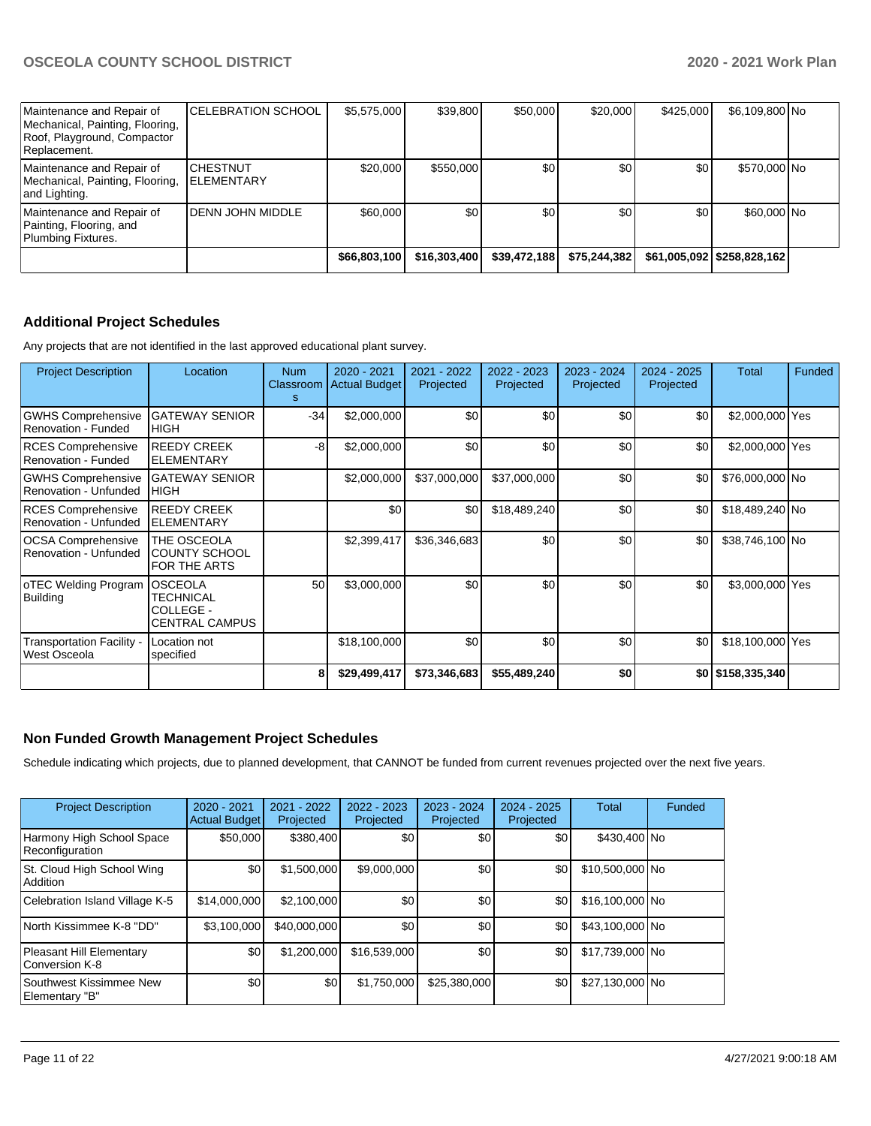| Maintenance and Repair of<br>Mechanical, Painting, Flooring,<br>Roof, Playground, Compactor<br>Replacement. | <b>CELEBRATION SCHOOL</b>             | \$5,575,000  | \$39,800     | \$50,000     | \$20,000     | \$425,000 | \$6,109,800 No               |  |
|-------------------------------------------------------------------------------------------------------------|---------------------------------------|--------------|--------------|--------------|--------------|-----------|------------------------------|--|
| Maintenance and Repair of<br>Mechanical, Painting, Flooring,<br>and Lighting.                               | <b>ICHESTNUT</b><br><b>ELEMENTARY</b> | \$20,000     | \$550,000    | \$0          | \$0          | \$0       | \$570,000 No                 |  |
| Maintenance and Repair of<br>Painting, Flooring, and<br>Plumbing Fixtures.                                  | DENN JOHN MIDDLE                      | \$60,000     | \$0          | \$0          | \$0          | \$0       | \$60,000 No                  |  |
|                                                                                                             |                                       | \$66,803,100 | \$16,303,400 | \$39,472,188 | \$75,244,382 |           | \$61,005,092   \$258,828,162 |  |

# **Additional Project Schedules**

Any projects that are not identified in the last approved educational plant survey.

| <b>Project Description</b>                         | Location                                                          | <b>Num</b><br>s | $2020 - 2021$<br>Classroom Actual Budget | 2021 - 2022<br>Projected | 2022 - 2023<br>Projected | 2023 - 2024<br>Projected | 2024 - 2025<br>Projected | Total             | Funded |
|----------------------------------------------------|-------------------------------------------------------------------|-----------------|------------------------------------------|--------------------------|--------------------------|--------------------------|--------------------------|-------------------|--------|
| <b>GWHS Comprehensive</b><br>Renovation - Funded   | <b>GATEWAY SENIOR</b><br><b>HIGH</b>                              | $-34$           | \$2,000,000                              | \$0                      | \$0                      | \$0                      | \$0                      | \$2,000,000 Yes   |        |
| <b>RCES Comprehensive</b><br>Renovation - Funded   | <b>REEDY CREEK</b><br><b>ELEMENTARY</b>                           | -8              | \$2,000,000                              | \$0                      | \$0                      | \$0                      | \$0                      | \$2,000,000 Yes   |        |
| <b>GWHS Comprehensive</b><br>Renovation - Unfunded | <b>GATEWAY SENIOR</b><br><b>HIGH</b>                              |                 | \$2,000,000                              | \$37,000,000             | \$37,000,000             | \$0                      | \$0                      | \$76,000,000 No   |        |
| <b>RCES Comprehensive</b><br>Renovation - Unfunded | <b>REEDY CREEK</b><br><b>ELEMENTARY</b>                           |                 | \$0                                      | \$0                      | \$18,489,240             | \$0                      | \$0                      | \$18,489,240 No   |        |
| <b>OCSA Comprehensive</b><br>Renovation - Unfunded | THE OSCEOLA<br><b>COUNTY SCHOOL</b><br><b>FOR THE ARTS</b>        |                 | \$2,399,417                              | \$36,346,683             | \$0                      | \$0                      | \$0                      | \$38,746,100 No   |        |
| oTEC Welding Program<br><b>Building</b>            | <b>OSCEOLA</b><br>TECHNICAL<br>COLLEGE -<br><b>CENTRAL CAMPUS</b> | 50              | \$3,000,000                              | \$0                      | \$0                      | \$0                      | \$0                      | \$3,000,000 Yes   |        |
| <b>Transportation Facility -</b><br>West Osceola   | Location not<br>specified                                         |                 | \$18,100,000                             | \$0                      | \$0                      | \$0                      | \$0                      | \$18,100,000 Yes  |        |
|                                                    |                                                                   | 8               | \$29,499,417                             | \$73,346,683             | \$55,489,240             | \$0                      |                          | \$0 \$158,335,340 |        |

# **Non Funded Growth Management Project Schedules**

Schedule indicating which projects, due to planned development, that CANNOT be funded from current revenues projected over the next five years.

| <b>Project Description</b>                        | 2020 - 2021<br><b>Actual Budget</b> | 2021 - 2022<br>Projected | 2022 - 2023<br>Projected | 2023 - 2024<br>Projected | 2024 - 2025<br>Projected | Total           | Funded |
|---------------------------------------------------|-------------------------------------|--------------------------|--------------------------|--------------------------|--------------------------|-----------------|--------|
| Harmony High School Space<br>Reconfiguration      | \$50,000                            | \$380,400                | \$0 <sub>1</sub>         | <b>\$01</b>              | \$0                      | \$430,400 No    |        |
| St. Cloud High School Wing<br>Addition            | \$0                                 | \$1,500,000              | \$9,000,000              | \$0                      | \$0                      | \$10,500,000 No |        |
| Celebration Island Village K-5                    | \$14,000,000                        | \$2,100,000              | \$0                      | \$0                      | \$0                      | \$16,100,000 No |        |
| North Kissimmee K-8 "DD"                          | \$3,100,000                         | \$40,000,000             | \$0                      | \$0 <sub>1</sub>         | \$0                      | \$43,100,000 No |        |
| <b>Pleasant Hill Elementary</b><br>Conversion K-8 | \$0                                 | \$1,200,000              | \$16,539,000             | \$0 <sub>1</sub>         | \$0                      | \$17,739,000 No |        |
| Southwest Kissimmee New<br>Elementary "B"         | \$0                                 | \$0                      | \$1,750,000              | \$25,380,000             | \$0                      | \$27,130,000 No |        |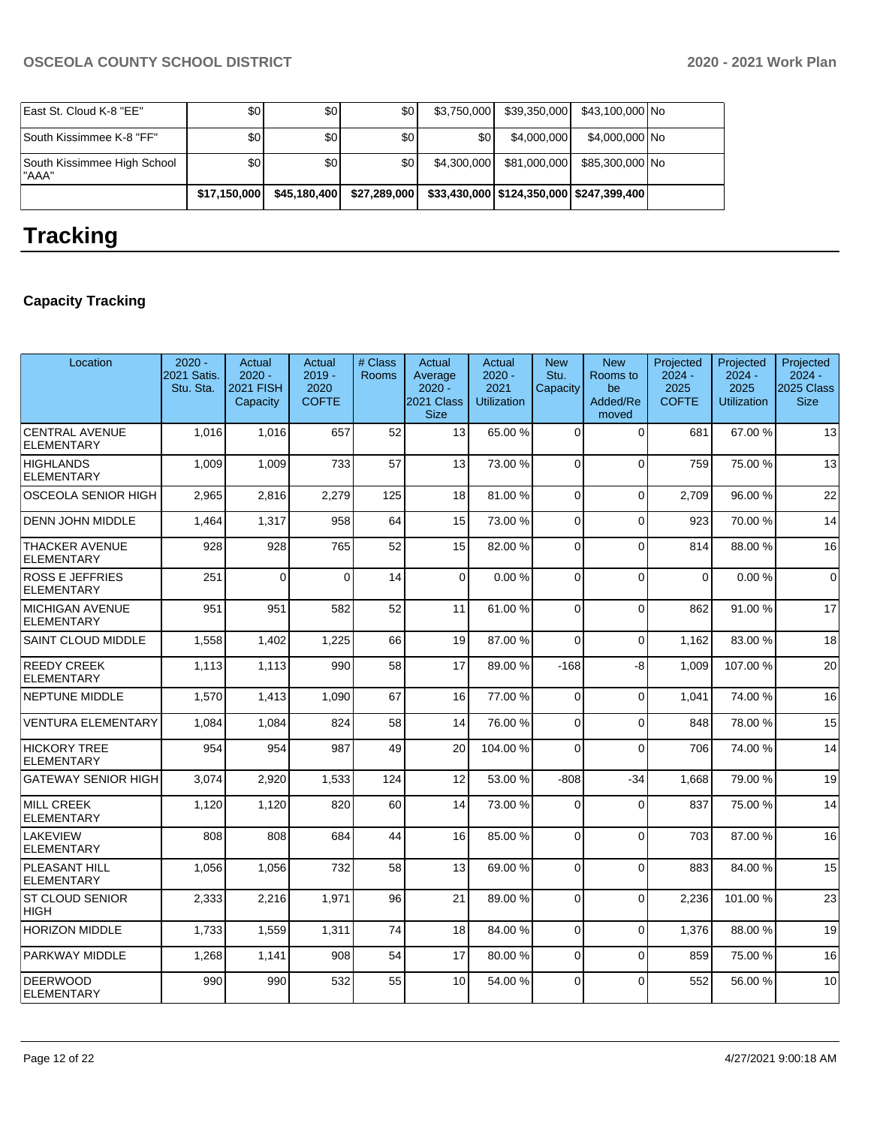| East St. Cloud K-8 "EE"               | \$0 I            | \$0              | \$0          | \$3.750.000 | \$39,350,000                                 | \$43,100,000 No |  |
|---------------------------------------|------------------|------------------|--------------|-------------|----------------------------------------------|-----------------|--|
| South Kissimmee K-8 "FF"              | \$0 <sub>1</sub> | \$0 <sub>1</sub> | \$0          | \$0         | \$4,000,000                                  | \$4,000,000 No  |  |
| South Kissimmee High School<br>l"AAA" | \$0 <sub>1</sub> | \$0              | \$٥١         | \$4.300,000 | \$81,000,000                                 | \$85,300,000 No |  |
|                                       | \$17,150,000     | \$45,180,400     | \$27,289,000 |             | \$33,430,000   \$124,350,000   \$247,399,400 |                 |  |

# **Tracking**

# **Capacity Tracking**

| Location                                    | $2020 -$<br>2021 Satis.<br>Stu. Sta. | Actual<br>$2020 -$<br>2021 FISH<br>Capacity | Actual<br>$2019 -$<br>2020<br><b>COFTE</b> | # Class<br><b>Rooms</b> | Actual<br>Average<br>$2020 -$<br>2021 Class<br><b>Size</b> | Actual<br>$2020 -$<br>2021<br><b>Utilization</b> | <b>New</b><br>Stu.<br>Capacity | <b>New</b><br>Rooms to<br>be<br>Added/Re<br>moved | Projected<br>$2024 -$<br>2025<br><b>COFTE</b> | Projected<br>$2024 -$<br>2025<br><b>Utilization</b> | Projected<br>$2024 -$<br>2025 Class<br><b>Size</b> |
|---------------------------------------------|--------------------------------------|---------------------------------------------|--------------------------------------------|-------------------------|------------------------------------------------------------|--------------------------------------------------|--------------------------------|---------------------------------------------------|-----------------------------------------------|-----------------------------------------------------|----------------------------------------------------|
| <b>CENTRAL AVENUE</b><br><b>ELEMENTARY</b>  | 1.016                                | 1.016                                       | 657                                        | 52                      | 13                                                         | 65.00 %                                          | $\Omega$                       | $\Omega$                                          | 681                                           | 67.00 %                                             | 13                                                 |
| <b>HIGHLANDS</b><br><b>ELEMENTARY</b>       | 1.009                                | 1.009                                       | 733                                        | 57                      | 13                                                         | 73.00 %                                          | $\Omega$                       | $\Omega$                                          | 759                                           | 75.00 %                                             | 13                                                 |
| OSCEOLA SENIOR HIGH                         | 2,965                                | 2,816                                       | 2,279                                      | 125                     | 18                                                         | 81.00 %                                          | $\Omega$                       | $\Omega$                                          | 2,709                                         | 96.00 %                                             | 22                                                 |
| <b>DENN JOHN MIDDLE</b>                     | 1,464                                | 1,317                                       | 958                                        | 64                      | 15                                                         | 73.00 %                                          | $\Omega$                       | $\Omega$                                          | 923                                           | 70.00 %                                             | 14                                                 |
| <b>THACKER AVENUE</b><br><b>ELEMENTARY</b>  | 928                                  | 928                                         | 765                                        | 52                      | 15                                                         | 82.00 %                                          | 0                              | $\Omega$                                          | 814                                           | 88.00 %                                             | 16                                                 |
| <b>ROSS E JEFFRIES</b><br><b>ELEMENTARY</b> | 251                                  | $\Omega$                                    | $\Omega$                                   | 14                      | $\Omega$                                                   | 0.00%                                            | $\Omega$                       | $\Omega$                                          | $\Omega$                                      | 0.00%                                               | $\Omega$                                           |
| <b>MICHIGAN AVENUE</b><br><b>ELEMENTARY</b> | 951                                  | 951                                         | 582                                        | 52                      | 11                                                         | 61.00%                                           | $\Omega$                       | $\Omega$                                          | 862                                           | 91.00%                                              | 17                                                 |
| <b>SAINT CLOUD MIDDLE</b>                   | 1,558                                | 1,402                                       | 1,225                                      | 66                      | 19                                                         | 87.00 %                                          | $\Omega$                       | $\Omega$                                          | 1,162                                         | 83.00 %                                             | 18                                                 |
| <b>REEDY CREEK</b><br><b>ELEMENTARY</b>     | 1,113                                | 1,113                                       | 990                                        | 58                      | 17                                                         | 89.00 %                                          | $-168$                         | -8                                                | 1.009                                         | 107.00%                                             | 20                                                 |
| <b>NEPTUNE MIDDLE</b>                       | 1,570                                | 1,413                                       | 1,090                                      | 67                      | 16                                                         | 77.00 %                                          | $\Omega$                       | $\Omega$                                          | 1,041                                         | 74.00 %                                             | 16                                                 |
| <b>VENTURA ELEMENTARY</b>                   | 1.084                                | 1.084                                       | 824                                        | 58                      | 14                                                         | 76.00 %                                          | $\Omega$                       | $\Omega$                                          | 848                                           | 78.00 %                                             | 15                                                 |
| <b>HICKORY TREE</b><br><b>ELEMENTARY</b>    | 954                                  | 954                                         | 987                                        | 49                      | 20                                                         | 104.00%                                          | 0                              | $\Omega$                                          | 706                                           | 74.00 %                                             | 14                                                 |
| <b>GATEWAY SENIOR HIGH</b>                  | 3,074                                | 2.920                                       | 1.533                                      | 124                     | 12                                                         | 53.00 %                                          | $-808$                         | $-34$                                             | 1.668                                         | 79.00 %                                             | 19                                                 |
| <b>MILL CREEK</b><br><b>ELEMENTARY</b>      | 1,120                                | 1,120                                       | 820                                        | 60                      | 14                                                         | 73.00 %                                          | $\Omega$                       | $\Omega$                                          | 837                                           | 75.00 %                                             | 14                                                 |
| LAKEVIEW<br><b>ELEMENTARY</b>               | 808                                  | 808                                         | 684                                        | 44                      | 16                                                         | 85.00 %                                          | $\Omega$                       | $\Omega$                                          | 703                                           | 87.00 %                                             | 16                                                 |
| PLEASANT HILL<br><b>ELEMENTARY</b>          | 1,056                                | 1,056                                       | 732                                        | 58                      | 13                                                         | 69.00 %                                          | $\Omega$                       | $\Omega$                                          | 883                                           | 84.00 %                                             | 15                                                 |
| <b>ST CLOUD SENIOR</b><br><b>HIGH</b>       | 2,333                                | 2,216                                       | 1,971                                      | 96                      | 21                                                         | 89.00 %                                          | $\Omega$                       | $\Omega$                                          | 2,236                                         | 101.00%                                             | 23                                                 |
| <b>HORIZON MIDDLE</b>                       | 1,733                                | 1,559                                       | 1,311                                      | 74                      | 18                                                         | 84.00 %                                          | $\Omega$                       | $\Omega$                                          | 1,376                                         | 88.00 %                                             | 19                                                 |
| PARKWAY MIDDLE                              | 1,268                                | 1,141                                       | 908                                        | 54                      | 17                                                         | 80.00 %                                          | $\overline{0}$                 | $\Omega$                                          | 859                                           | 75.00 %                                             | 16                                                 |
| <b>DEERWOOD</b><br><b>ELEMENTARY</b>        | 990                                  | 990                                         | 532                                        | 55                      | 10                                                         | 54.00 %                                          | $\Omega$                       | $\Omega$                                          | 552                                           | 56.00 %                                             | 10                                                 |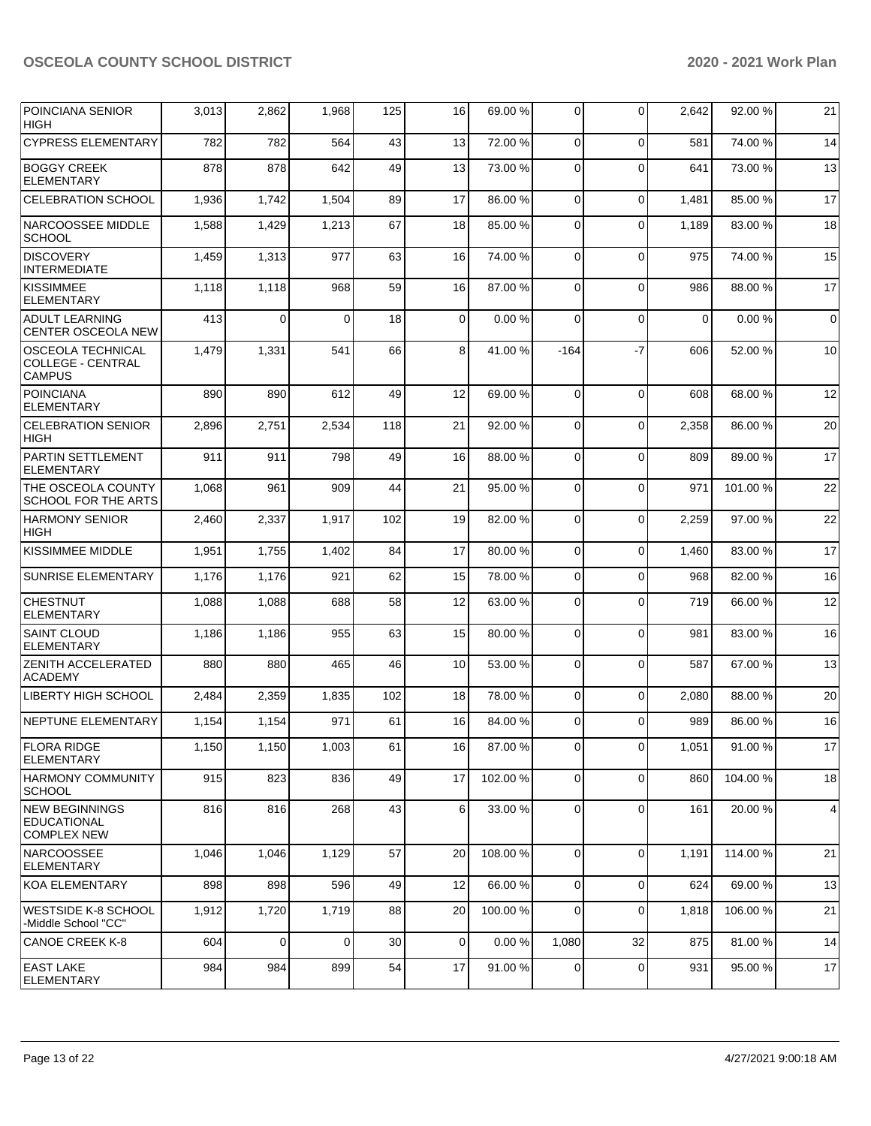| <b>POINCIANA SENIOR</b><br>HIGH                                       | 3,013 | 2,862 | 1,968       | 125 | 16              | 69.00 % | 0              | $\Omega$    | 2,642       | 92.00 %  | 21          |
|-----------------------------------------------------------------------|-------|-------|-------------|-----|-----------------|---------|----------------|-------------|-------------|----------|-------------|
| <b>CYPRESS ELEMENTARY</b>                                             | 782   | 782   | 564         | 43  | 13              | 72.00 % | 0              | $\Omega$    | 581         | 74.00 %  | 14          |
| <b>BOGGY CREEK</b><br><b>ELEMENTARY</b>                               | 878   | 878   | 642         | 49  | 13              | 73.00 % | $\mathbf 0$    | $\Omega$    | 641         | 73.00 %  | 13          |
| <b>CELEBRATION SCHOOL</b>                                             | 1,936 | 1,742 | 1,504       | 89  | 17              | 86.00 % | $\mathbf 0$    | $\mathbf 0$ | 1,481       | 85.00 %  | 17          |
| NARCOOSSEE MIDDLE<br><b>SCHOOL</b>                                    | 1,588 | 1,429 | 1,213       | 67  | 18              | 85.00 % | 0              | $\mathbf 0$ | 1,189       | 83.00 %  | 18          |
| DISCOVERY<br><b>INTERMEDIATE</b>                                      | 1,459 | 1,313 | 977         | 63  | 16              | 74.00 % | $\mathbf 0$    | $\Omega$    | 975         | 74.00 %  | 15          |
| <b>KISSIMMEE</b><br><b>ELEMENTARY</b>                                 | 1,118 | 1,118 | 968         | 59  | 16              | 87.00 % | $\mathbf 0$    | $\Omega$    | 986         | 88.00 %  | 17          |
| <b>ADULT LEARNING</b><br><b>CENTER OSCEOLA NEW</b>                    | 413   | 0     | $\Omega$    | 18  | 0               | 0.00%   | 0              | $\mathbf 0$ | $\mathbf 0$ | 0.00%    | $\mathbf 0$ |
| <b>OSCEOLA TECHNICAL</b><br><b>COLLEGE - CENTRAL</b><br><b>CAMPUS</b> | 1,479 | 1,331 | 541         | 66  | 8               | 41.00 % | $-164$         | -7          | 606         | 52.00 %  | 10          |
| <b>POINCIANA</b><br><b>ELEMENTARY</b>                                 | 890   | 890   | 612         | 49  | 12              | 69.00 % | $\Omega$       | $\Omega$    | 608         | 68.00 %  | 12          |
| <b>CELEBRATION SENIOR</b><br><b>HIGH</b>                              | 2,896 | 2,751 | 2,534       | 118 | 21              | 92.00 % | 0              | $\mathbf 0$ | 2,358       | 86.00 %  | 20          |
| PARTIN SETTLEMENT<br><b>ELEMENTARY</b>                                | 911   | 911   | 798         | 49  | 16              | 88.00 % | $\mathbf 0$    | $\Omega$    | 809         | 89.00 %  | 17          |
| THE OSCEOLA COUNTY<br>SCHOOL FOR THE ARTS                             | 1,068 | 961   | 909         | 44  | 21              | 95.00 % | 0              | $\Omega$    | 971         | 101.00 % | 22          |
| <b>HARMONY SENIOR</b><br><b>HIGH</b>                                  | 2,460 | 2,337 | 1,917       | 102 | 19              | 82.00 % | 0              | $\mathbf 0$ | 2,259       | 97.00 %  | 22          |
| <b>KISSIMMEE MIDDLE</b>                                               | 1,951 | 1,755 | 1,402       | 84  | 17              | 80.00 % | $\mathbf 0$    | $\Omega$    | 1,460       | 83.00 %  | 17          |
| <b>SUNRISE ELEMENTARY</b>                                             | 1,176 | 1,176 | 921         | 62  | 15              | 78.00 % | $\mathbf 0$    | $\Omega$    | 968         | 82.00 %  | 16          |
| <b>CHESTNUT</b><br><b>ELEMENTARY</b>                                  | 1,088 | 1,088 | 688         | 58  | 12              | 63.00 % | $\mathbf 0$    | $\Omega$    | 719         | 66.00 %  | 12          |
| <b>SAINT CLOUD</b><br><b>ELEMENTARY</b>                               | 1,186 | 1,186 | 955         | 63  | 15              | 80.00 % | 0              | $\Omega$    | 981         | 83.00 %  | 16          |
| <b>ZENITH ACCELERATED</b><br><b>ACADEMY</b>                           | 880   | 880   | 465         | 46  | 10              | 53.00 % | 0              | $\mathbf 0$ | 587         | 67.00 %  | 13          |
| LIBERTY HIGH SCHOOL                                                   | 2,484 | 2,359 | 1,835       | 102 | 18              | 78.00 % | $\mathbf 0$    | $\Omega$    | 2,080       | 88.00 %  | 20          |
| NEPTUNE ELEMENTARY                                                    | 1,154 | 1,154 | 971         | 61  | 16              | 84.00 % | 0              | $\Omega$    | 989         | 86.00 %  | 16          |
| <b>FLORA RIDGE</b><br><b>ELEMENTARY</b>                               | 1,150 | 1,150 | 1,003       | 61  | 16 <sup>1</sup> | 87.00 % | $\overline{0}$ | 0           | 1,051       | 91.00 %  | 17          |
| HARMONY COMMUNITY<br><b>SCHOOL</b>                                    | 915   | 823   | 836         | 49  | 17              | 102.00% | 0              | $\Omega$    | 860         | 104.00 % | 18          |
| NEW BEGINNINGS<br><b>EDUCATIONAL</b><br><b>COMPLEX NEW</b>            | 816   | 816   | 268         | 43  | 6               | 33.00 % | 0              | $\mathbf 0$ | 161         | 20.00 %  | 4           |
| <b>NARCOOSSEE</b><br><b>ELEMENTARY</b>                                | 1,046 | 1,046 | 1,129       | 57  | 20              | 108.00% | $\mathbf 0$    | $\Omega$    | 1,191       | 114.00 % | 21          |
| KOA ELEMENTARY                                                        | 898   | 898   | 596         | 49  | 12              | 66.00 % | $\mathbf 0$    | $\mathbf 0$ | 624         | 69.00 %  | 13          |
| <b>WESTSIDE K-8 SCHOOL</b><br>-Middle School "CC"                     | 1,912 | 1,720 | 1,719       | 88  | 20              | 100.00% | $\mathbf 0$    | $\Omega$    | 1,818       | 106.00 % | 21          |
| <b>CANOE CREEK K-8</b>                                                | 604   | 0     | $\mathbf 0$ | 30  | 0               | 0.00%   | 1,080          | 32          | 875         | 81.00%   | 14          |
| <b>EAST LAKE</b><br>ELEMENTARY                                        | 984   | 984   | 899         | 54  | 17              | 91.00%  | 0              | $\mathbf 0$ | 931         | 95.00 %  | 17          |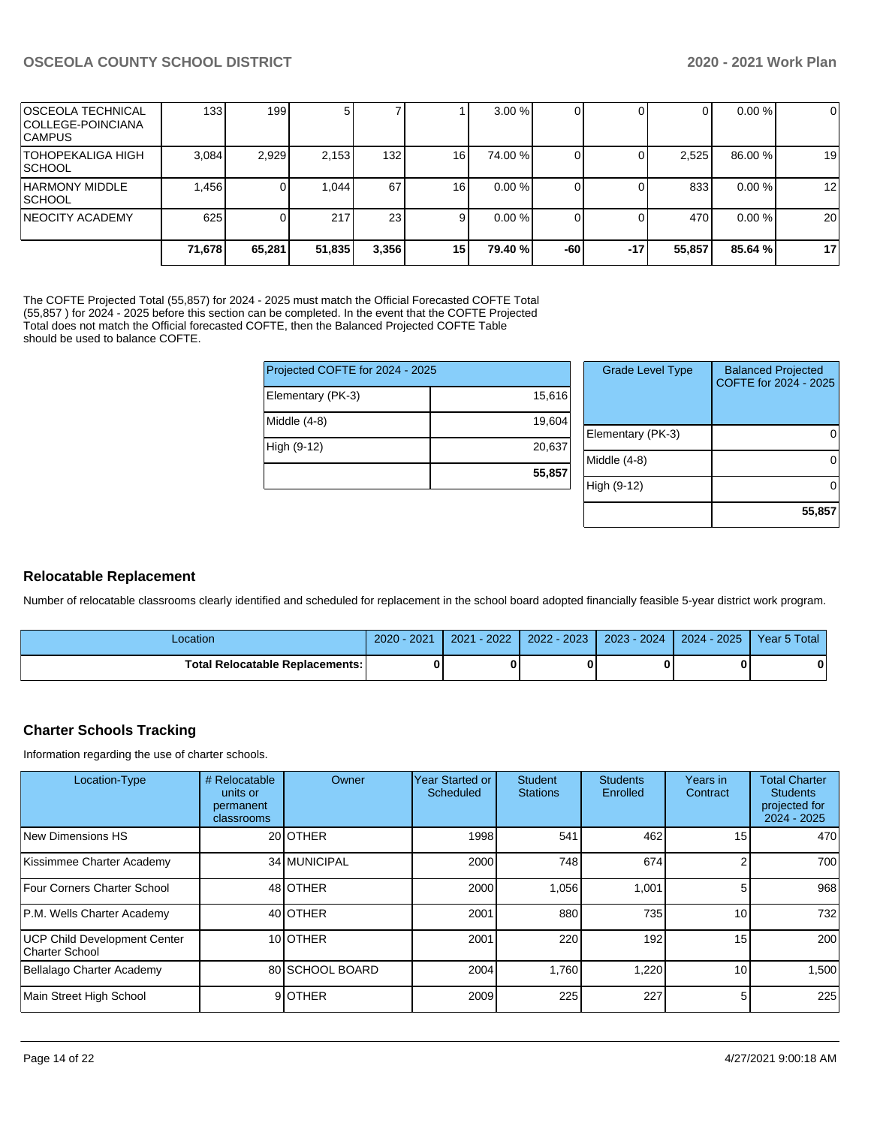| <b>OSCEOLA TECHNICAL</b><br> COLLEGE-POINCIANA<br> CAMPUS | 133 <sup>1</sup> | 1991   |        |                 |                 | $3.00\%$ |     |       | 01     | $0.00 \%$ | $\mathbf 0$ |
|-----------------------------------------------------------|------------------|--------|--------|-----------------|-----------------|----------|-----|-------|--------|-----------|-------------|
| TOHOPEKALIGA HIGH<br> SCHOOL                              | 3,084            | 2,929  | 2,153  | 132             | 16 <sup>1</sup> | 74.00 %  |     |       | 2,525  | 86.00 %   | 19          |
| HARMONY MIDDLE<br> SCHOOL                                 | 1,456            |        | 1,044  | 67              | 161             | 0.00%    |     |       | 8331   | 0.00%     | 12          |
| INEOCITY ACADEMY                                          | 625              |        | 217    | 23 <sub>l</sub> |                 | 0.00%    |     |       | 470    | 0.00%     | 20          |
|                                                           | 71,678           | 65,281 | 51,835 | 3,356           | 15 I            | 79.40 %  | -60 | $-17$ | 55,857 | 85.64%    | 17          |

The COFTE Projected Total (55,857) for 2024 - 2025 must match the Official Forecasted COFTE Total (55,857 ) for 2024 - 2025 before this section can be completed. In the event that the COFTE Projected Total does not match the Official forecasted COFTE, then the Balanced Projected COFTE Table should be used to balance COFTE.

| Projected COFTE for 2024 - 2025 |        |
|---------------------------------|--------|
| Elementary (PK-3)               | 15,616 |
| Middle (4-8)                    | 19,604 |
| High (9-12)                     | 20,637 |
|                                 | 55,857 |

| <b>Grade Level Type</b> | <b>Balanced Projected</b><br>COFTE for 2024 - 2025 |
|-------------------------|----------------------------------------------------|
| Elementary (PK-3)       |                                                    |
| Middle $(4-8)$          |                                                    |
| High (9-12)             |                                                    |
|                         | 55,857                                             |

#### **Relocatable Replacement**

Number of relocatable classrooms clearly identified and scheduled for replacement in the school board adopted financially feasible 5-year district work program.

| .ocation                        | $-2021$<br>$2020 - 1$ | $-2022$<br>2021 | $2022 - 2023$ | $2023 - 2024$ 2024 - 2025 | Year 5 Total |
|---------------------------------|-----------------------|-----------------|---------------|---------------------------|--------------|
| Total Relocatable Replacements: |                       |                 |               |                           |              |

#### **Charter Schools Tracking**

Information regarding the use of charter schools.

| Location-Type                                  | # Relocatable<br>units or<br>permanent<br>classrooms | Owner           | Year Started or<br>Scheduled | Student<br><b>Stations</b> | <b>Students</b><br>Enrolled | Years in<br>Contract | <b>Total Charter</b><br><b>Students</b><br>projected for<br>$2024 - 2025$ |
|------------------------------------------------|------------------------------------------------------|-----------------|------------------------------|----------------------------|-----------------------------|----------------------|---------------------------------------------------------------------------|
| New Dimensions HS                              |                                                      | 20 OTHER        | 1998                         | 541                        | 462                         | 15                   | 470                                                                       |
| Kissimmee Charter Academy                      |                                                      | 34 MUNICIPAL    | 2000                         | 748                        | 674                         | ◠                    | 700                                                                       |
| Four Corners Charter School                    |                                                      | 48 OTHER        | 2000                         | 1.056                      | 1,001                       | 5                    | 968                                                                       |
| P.M. Wells Charter Academy                     |                                                      | 40 OTHER        | 2001                         | 880                        | 735                         | 10                   | 732                                                                       |
| UCP Child Development Center<br>Charter School |                                                      | 10 <b>OTHER</b> | 2001                         | 220                        | 192                         | 15                   | 200                                                                       |
| Bellalago Charter Academy                      |                                                      | 80 SCHOOL BOARD | 2004                         | 1.760                      | 1,220                       | 10                   | 1,500                                                                     |
| Main Street High School                        |                                                      | 9OTHER          | 2009                         | 225                        | 227                         | 5                    | 225                                                                       |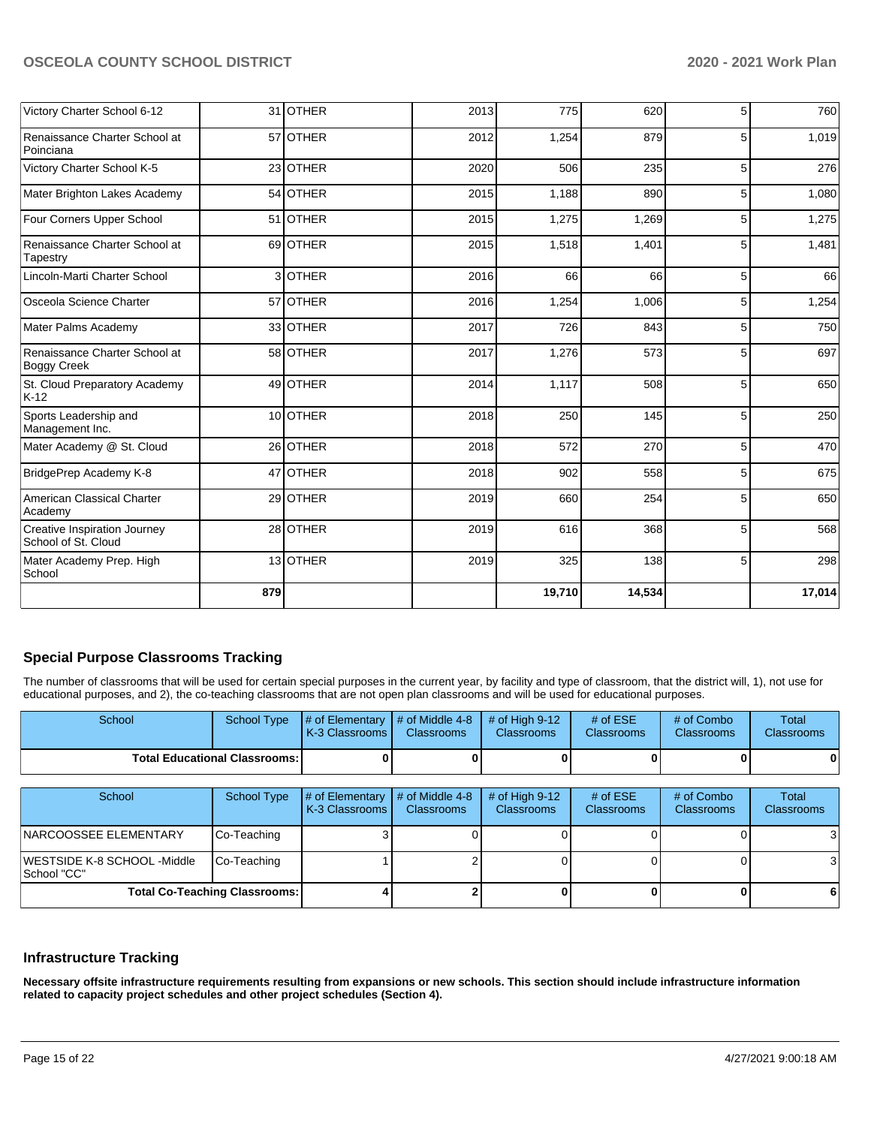| Victory Charter School 6-12                         |     | 31 OTHER | 2013 | 775    | 620    | 5 <sup>1</sup> | 760    |
|-----------------------------------------------------|-----|----------|------|--------|--------|----------------|--------|
| Renaissance Charter School at<br>Poinciana          |     | 57 OTHER | 2012 | 1,254  | 879    | 5              | 1,019  |
| Victory Charter School K-5                          |     | 23 OTHER | 2020 | 506    | 235    | 5 <sup>5</sup> | 276    |
| Mater Brighton Lakes Academy                        |     | 54 OTHER | 2015 | 1,188  | 890    | 5              | 1,080  |
| Four Corners Upper School                           |     | 51 OTHER | 2015 | 1,275  | 1,269  | 5 <sup>1</sup> | 1,275  |
| Renaissance Charter School at<br>Tapestry           |     | 69 OTHER | 2015 | 1,518  | 1,401  | 5              | 1,481  |
| Lincoln-Marti Charter School                        |     | 3OTHER   | 2016 | 66     | 66     | 5 <sup>1</sup> | 66     |
| Osceola Science Charter                             |     | 57 OTHER | 2016 | 1,254  | 1,006  | 5              | 1,254  |
| Mater Palms Academy                                 |     | 33 OTHER | 2017 | 726    | 843    | 5              | 750    |
| Renaissance Charter School at<br><b>Boggy Creek</b> |     | 58 OTHER | 2017 | 1,276  | 573    | 5              | 697    |
| St. Cloud Preparatory Academy<br>$K-12$             |     | 49 OTHER | 2014 | 1,117  | 508    | 5              | 650    |
| Sports Leadership and<br>Management Inc.            |     | 10 OTHER | 2018 | 250    | 145    | 5              | 250    |
| Mater Academy @ St. Cloud                           |     | 26 OTHER | 2018 | 572    | 270    | 5              | 470    |
| BridgePrep Academy K-8                              |     | 47 OTHER | 2018 | 902    | 558    | 5              | 675    |
| American Classical Charter<br>Academy               |     | 29 OTHER | 2019 | 660    | 254    | 5              | 650    |
| Creative Inspiration Journey<br>School of St. Cloud |     | 28 OTHER | 2019 | 616    | 368    | 5              | 568    |
| Mater Academy Prep. High<br>School                  |     | 13 OTHER | 2019 | 325    | 138    | 5              | 298    |
|                                                     | 879 |          |      | 19,710 | 14,534 |                | 17,014 |

# **Special Purpose Classrooms Tracking**

The number of classrooms that will be used for certain special purposes in the current year, by facility and type of classroom, that the district will, 1), not use for educational purposes, and 2), the co-teaching classrooms that are not open plan classrooms and will be used for educational purposes.

| School                                     | <b>School Type</b>                   | # of Elementary<br>K-3 Classrooms | # of Middle 4-8<br><b>Classrooms</b> | # of High $9-12$<br>Classrooms        | # of $ESE$<br>Classrooms | # of Combo<br>Classrooms        | Total<br>Classrooms        |
|--------------------------------------------|--------------------------------------|-----------------------------------|--------------------------------------|---------------------------------------|--------------------------|---------------------------------|----------------------------|
|                                            | <b>Total Educational Classrooms:</b> |                                   |                                      |                                       |                          |                                 | 0                          |
| School                                     | <b>School Type</b>                   | # of Elementary<br>K-3 Classrooms | # of Middle 4-8<br><b>Classrooms</b> | # of High $9-12$<br><b>Classrooms</b> | # of $ESE$<br>Classrooms | # of Combo<br><b>Classrooms</b> | Total<br><b>Classrooms</b> |
| NARCOOSSEE ELEMENTARY                      | Co-Teaching                          |                                   |                                      |                                       |                          |                                 | 3                          |
| WESTSIDE K-8 SCHOOL -Middle<br>School "CC" | Co-Teaching                          |                                   |                                      |                                       |                          |                                 | 31                         |
| <b>Total Co-Teaching Classrooms:</b>       |                                      |                                   |                                      |                                       |                          |                                 | -6                         |

#### **Infrastructure Tracking**

**Necessary offsite infrastructure requirements resulting from expansions or new schools. This section should include infrastructure information related to capacity project schedules and other project schedules (Section 4).**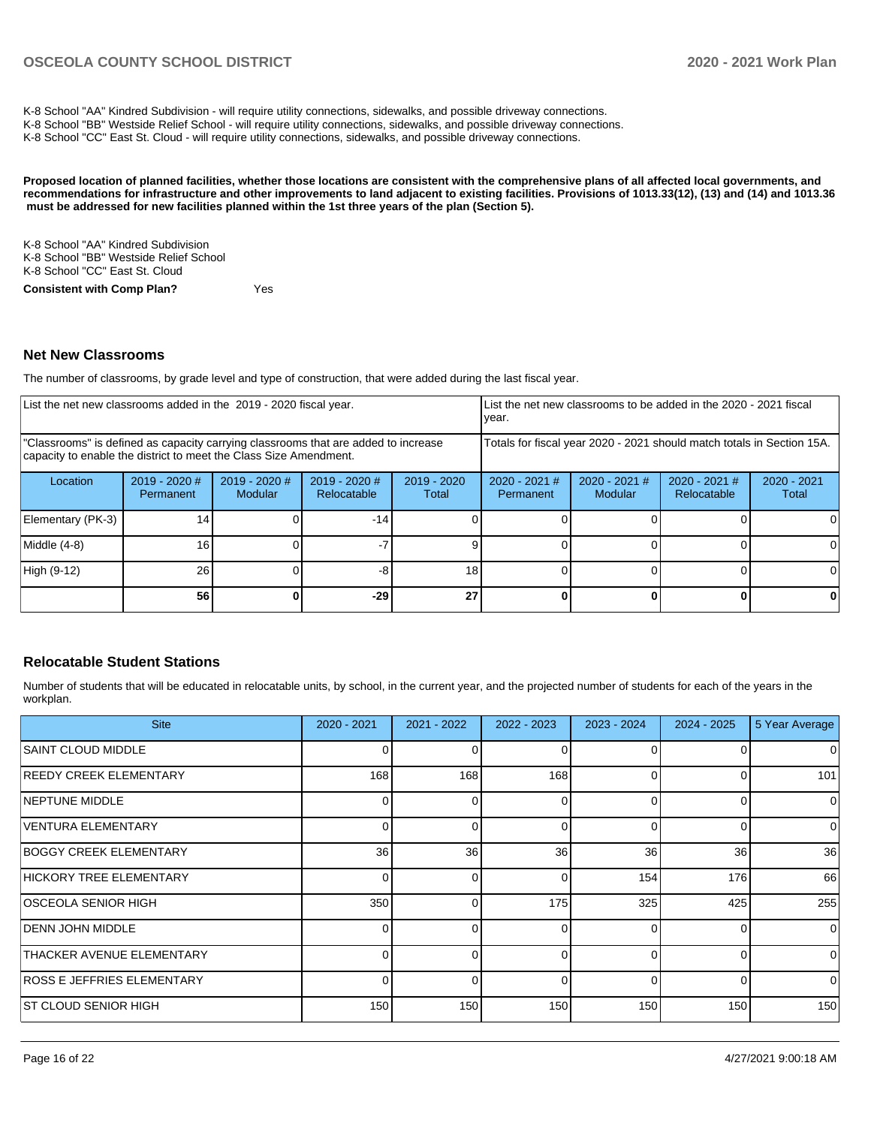K-8 School "AA" Kindred Subdivision - will require utility connections, sidewalks, and possible driveway connections.

K-8 School "BB" Westside Relief School - will require utility connections, sidewalks, and possible driveway connections.

K-8 School "CC" East St. Cloud - will require utility connections, sidewalks, and possible driveway connections.

**Proposed location of planned facilities, whether those locations are consistent with the comprehensive plans of all affected local governments, and recommendations for infrastructure and other improvements to land adjacent to existing facilities. Provisions of 1013.33(12), (13) and (14) and 1013.36 must be addressed for new facilities planned within the 1st three years of the plan (Section 5).** 

K-8 School "AA" Kindred Subdivision K-8 School "BB" Westside Relief School K-8 School "CC" East St. Cloud **Consistent with Comp Plan?** Yes

#### **Net New Classrooms**

The number of classrooms, by grade level and type of construction, that were added during the last fiscal year.

|                                                                                                                                                         | List the net new classrooms added in the 2019 - 2020 fiscal year. |                                   |                                                                        |                        | List the net new classrooms to be added in the 2020 - 2021 fiscal<br>year. |                          |                                |                        |  |
|---------------------------------------------------------------------------------------------------------------------------------------------------------|-------------------------------------------------------------------|-----------------------------------|------------------------------------------------------------------------|------------------------|----------------------------------------------------------------------------|--------------------------|--------------------------------|------------------------|--|
| "Classrooms" is defined as capacity carrying classrooms that are added to increase<br>capacity to enable the district to meet the Class Size Amendment. |                                                                   |                                   | Totals for fiscal year 2020 - 2021 should match totals in Section 15A. |                        |                                                                            |                          |                                |                        |  |
| Location                                                                                                                                                | 2019 - 2020 #<br>Permanent                                        | $2019 - 2020$ #<br><b>Modular</b> | $2019 - 2020$ #<br>Relocatable                                         | $2019 - 2020$<br>Total | $2020 - 2021$ #<br>Permanent                                               | 2020 - 2021 #<br>Modular | $2020 - 2021$ #<br>Relocatable | $2020 - 2021$<br>Total |  |
| Elementary (PK-3)                                                                                                                                       | 14 <sub>1</sub>                                                   |                                   | $-14$                                                                  |                        |                                                                            |                          |                                |                        |  |
| Middle (4-8)                                                                                                                                            | 16 <sub>1</sub>                                                   |                                   |                                                                        |                        |                                                                            |                          |                                |                        |  |
| High (9-12)                                                                                                                                             | 26                                                                |                                   |                                                                        | 18                     |                                                                            |                          |                                | 0                      |  |
|                                                                                                                                                         | 56 <sub>l</sub>                                                   |                                   | -29                                                                    | 27                     |                                                                            |                          |                                | 0                      |  |

#### **Relocatable Student Stations**

Number of students that will be educated in relocatable units, by school, in the current year, and the projected number of students for each of the years in the workplan.

| <b>Site</b>                       | 2020 - 2021     | 2021 - 2022 | 2022 - 2023 | 2023 - 2024  | $2024 - 2025$   | 5 Year Average |
|-----------------------------------|-----------------|-------------|-------------|--------------|-----------------|----------------|
| <b>SAINT CLOUD MIDDLE</b>         |                 | 0           |             |              | 0               | $\Omega$       |
| <b>REEDY CREEK ELEMENTARY</b>     | 168             | 168         | 168         | <sup>0</sup> | $\Omega$        | 101            |
| <b>NEPTUNE MIDDLE</b>             |                 | O           |             |              | 0               | $\overline{0}$ |
| VENTURA ELEMENTARY                |                 | 0           |             |              | 0               | $\overline{0}$ |
| <b>BOGGY CREEK ELEMENTARY</b>     | 36 <sup>1</sup> | 36          | 36          | 36           | 36 <sup>1</sup> | 36             |
| HICKORY TREE ELEMENTARY           | $\Omega$        | 0           | 0           | 154          | 176             | 66             |
| IOSCEOLA SENIOR HIGH              | 350             | 0           | 175         | 325          | 425             | 255            |
| <b>DENN JOHN MIDDLE</b>           | 0               | 0           |             | $\Omega$     | $\Omega$        | $\overline{0}$ |
| <b>THACKER AVENUE ELEMENTARY</b>  |                 | $\Omega$    | ∩           | $\Omega$     | $\Omega$        | $\Omega$       |
| <b>ROSS E JEFFRIES ELEMENTARY</b> | <sup>n</sup>    | 0           | ∩           | $\Omega$     | $\Omega$        | $\overline{0}$ |
| IST CLOUD SENIOR HIGH             | 150             | 150         | 150         | 150          | 150             | 150            |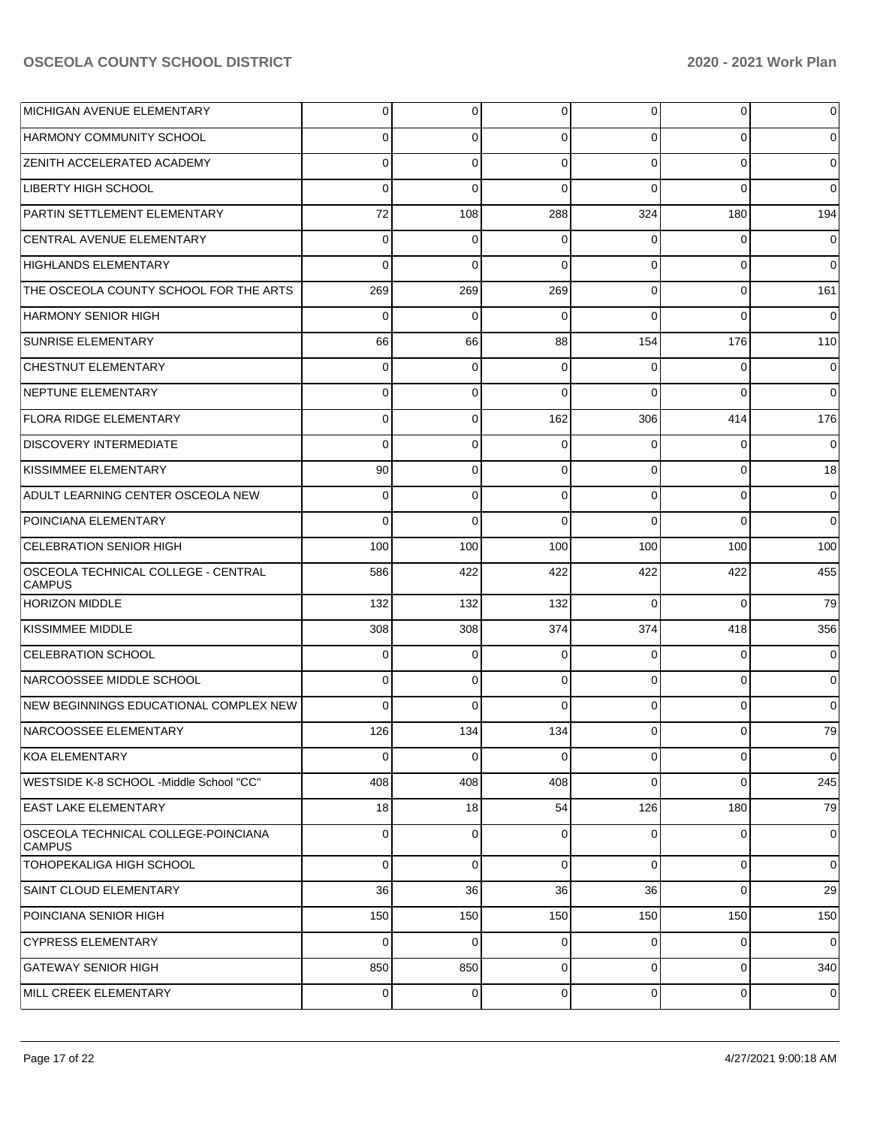| IMICHIGAN AVENUE ELEMENTARY                          | $\overline{0}$ | $\overline{0}$ | 0           | $\overline{0}$ | $\overline{0}$ | $\overline{0}$ |
|------------------------------------------------------|----------------|----------------|-------------|----------------|----------------|----------------|
| HARMONY COMMUNITY SCHOOL                             | $\Omega$       | 0              | $\Omega$    | $\Omega$       | $\Omega$       | $\overline{0}$ |
| <b>ZENITH ACCELERATED ACADEMY</b>                    | $\Omega$       | $\mathbf 0$    | $\Omega$    | $\Omega$       | $\Omega$       | $\overline{0}$ |
| ILIBERTY HIGH SCHOOL                                 | $\Omega$       | $\Omega$       | $\Omega$    | $\Omega$       | $\Omega$       | $\overline{0}$ |
| PARTIN SETTLEMENT ELEMENTARY                         | 72             | 108            | 288         | 324            | 180            | 194            |
| CENTRAL AVENUE ELEMENTARY                            | $\mathbf 0$    | 0              | $\Omega$    | $\Omega$       | $\overline{0}$ | $\overline{0}$ |
| HIGHLANDS ELEMENTARY                                 | $\Omega$       | $\Omega$       | $\Omega$    | $\Omega$       | $\Omega$       | $\Omega$       |
| THE OSCEOLA COUNTY SCHOOL FOR THE ARTS               | 269            | 269            | 269         | $\Omega$       | $\overline{0}$ | 161            |
| IHARMONY SENIOR HIGH                                 | $\Omega$       | $\Omega$       | $\Omega$    | $\Omega$       | $\Omega$       | $\overline{0}$ |
| <b>SUNRISE ELEMENTARY</b>                            | 66             | 66             | 88          | 154            | 176            | 110            |
| <b>CHESTNUT ELEMENTARY</b>                           | $\Omega$       | 0              | $\Omega$    | $\Omega$       | $\overline{0}$ | $\overline{0}$ |
| NEPTUNE ELEMENTARY                                   | 0              | $\mathbf 0$    | $\Omega$    | $\Omega$       | $\Omega$       | $\overline{0}$ |
| <b>FLORA RIDGE ELEMENTARY</b>                        | $\Omega$       | $\mathbf 0$    | 162         | 306            | 414            | 176            |
| IDISCOVERY INTERMEDIATE                              | $\Omega$       | $\mathbf 0$    | $\Omega$    | $\Omega$       | $\overline{0}$ | $\overline{0}$ |
| KISSIMMEE ELEMENTARY                                 | 90             | 0              | $\Omega$    | $\Omega$       | $\Omega$       | 18             |
| ADULT LEARNING CENTER OSCEOLA NEW                    | $\mathbf 0$    | $\mathbf 0$    | $\Omega$    | $\Omega$       | $\overline{0}$ | $\overline{0}$ |
| POINCIANA ELEMENTARY                                 | $\Omega$       | $\Omega$       | $\Omega$    | $\Omega$       | $\Omega$       | $\overline{0}$ |
| <b>CELEBRATION SENIOR HIGH</b>                       | 100            | 100            | 100         | 100            | 100            | 100            |
| OSCEOLA TECHNICAL COLLEGE - CENTRAL<br><b>CAMPUS</b> | 586            | 422            | 422         | 422            | 422            | 455            |
| <b>HORIZON MIDDLE</b>                                | 132            | 132            | 132         | $\Omega$       | $\Omega$       | 79             |
| KISSIMMEE MIDDLE                                     | 308            | 308            | 374         | 374            | 418            | 356            |
| <b>CELEBRATION SCHOOL</b>                            | 0              | 0              | 0           | $\Omega$       | $\mathbf 0$    | $\overline{0}$ |
| NARCOOSSEE MIDDLE SCHOOL                             | 0              | $\mathbf 0$    | 0           | $\Omega$       | $\mathbf 0$    | $\overline{0}$ |
| NEW BEGINNINGS EDUCATIONAL COMPLEX NEW               | $\Omega$       | $\Omega$       | $\Omega$    | $\Omega$       | $\overline{0}$ | $\overline{0}$ |
| NARCOOSSEE ELEMENTARY                                | 126            | 134            | 134         | $\Omega$       | 0              | 79             |
| <b>KOA ELEMENTARY</b>                                | 0              | 0              | $\mathbf 0$ | 0              | 0              | $\mathbf 0$    |
| WESTSIDE K-8 SCHOOL -Middle School "CC"              | 408            | 408            | 408         | 0              | 0              | 245            |
| <b>EAST LAKE ELEMENTARY</b>                          | 18             | 18             | 54          | 126            | 180            | 79             |
| OSCEOLA TECHNICAL COLLEGE-POINCIANA<br><b>CAMPUS</b> | 0              | $\mathbf 0$    | 0           | 0              | 0              | $\mathbf 0$    |
| <b>TOHOPEKALIGA HIGH SCHOOL</b>                      | $\Omega$       | $\overline{0}$ | 0           | $\Omega$       | $\overline{0}$ | $\overline{0}$ |
| SAINT CLOUD ELEMENTARY                               | 36             | 36             | 36          | 36             | $\overline{0}$ | 29             |
| POINCIANA SENIOR HIGH                                | 150            | 150            | 150         | 150            | 150            | 150            |
| <b>CYPRESS ELEMENTARY</b>                            | $\Omega$       | $\overline{0}$ | 0           | $\Omega$       | $\overline{0}$ | $\overline{0}$ |
| <b>GATEWAY SENIOR HIGH</b>                           | 850            | 850            | $\Omega$    | $\Omega$       | $\overline{0}$ | 340            |
| MILL CREEK ELEMENTARY                                | 0              | $\overline{0}$ | 0           | $\overline{0}$ | $\overline{0}$ | $\mathbf 0$    |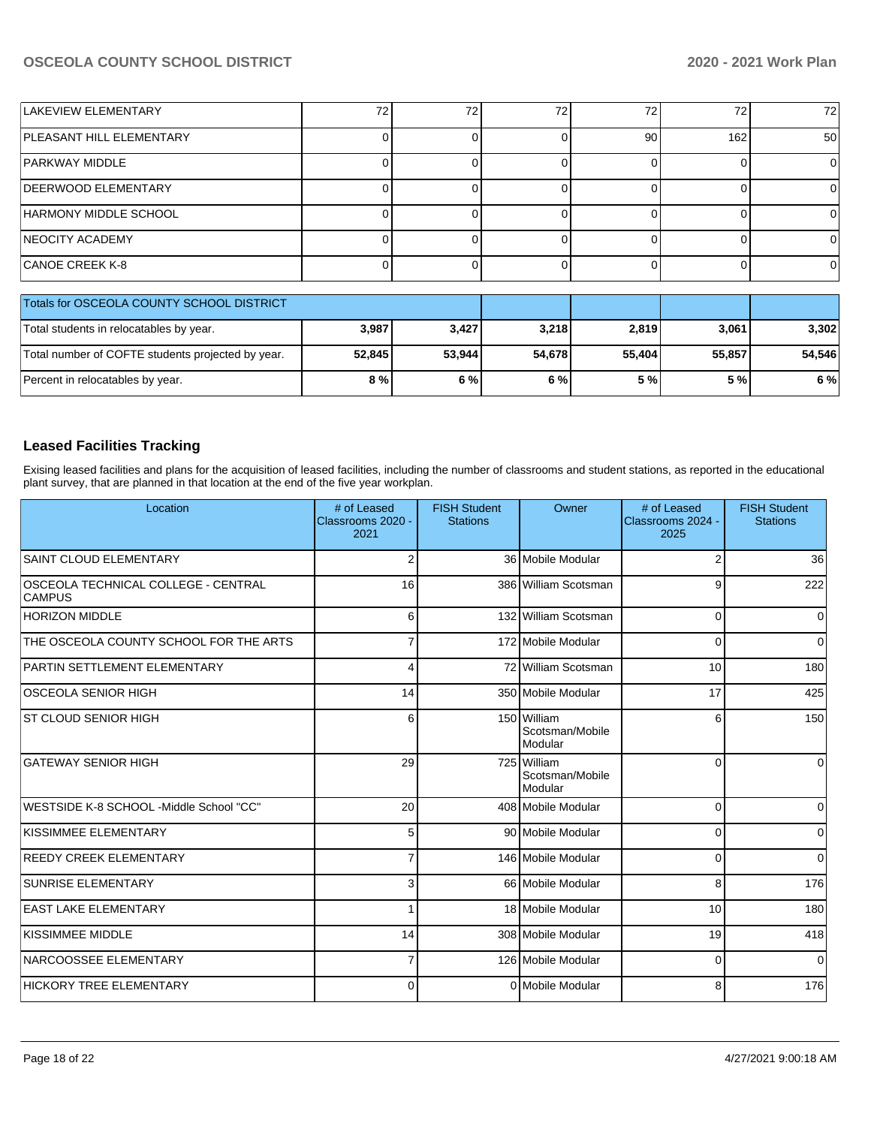| LAKEVIEW ELEMENTARY                       | 72 | 72 | 72 | 72 <sub>1</sub> | 72              |
|-------------------------------------------|----|----|----|-----------------|-----------------|
| PLEASANT HILL ELEMENTARY                  |    |    | 90 | 162             | 50 <sub>l</sub> |
| PARKWAY MIDDLE                            |    |    |    |                 |                 |
| <b>DEERWOOD ELEMENTARY</b>                |    |    |    |                 |                 |
| HARMONY MIDDLE SCHOOL                     |    |    |    |                 |                 |
| <b>INEOCITY ACADEMY</b>                   |    |    |    |                 |                 |
| CANOE CREEK K-8                           |    |    |    |                 |                 |
|                                           |    |    |    |                 |                 |
| Totals for OSCEOLA COUNTY SCHOOL DISTRICT |    |    |    |                 |                 |

| Totals for OSCEOLA COUNTY SCHOOL DISTRICT         |        |                                  |        |        |        |        |
|---------------------------------------------------|--------|----------------------------------|--------|--------|--------|--------|
| Total students in relocatables by year.           |        | 3,218<br>3,987<br>3.427<br>2.819 | 3,061  | 3,302  |        |        |
| Total number of COFTE students projected by year. | 52.845 | 53.944                           | 54.678 | 55.404 | 55.857 | 54.546 |
| Percent in relocatables by year.                  | 8 % l  | 6 % l                            | 6 % l  | 5 % I  | 5 % l  | 6 %    |

# **Leased Facilities Tracking**

Exising leased facilities and plans for the acquisition of leased facilities, including the number of classrooms and student stations, as reported in the educational plant survey, that are planned in that location at the end of the five year workplan.

| Location                                             | # of Leased<br>Classrooms 2020 -<br>2021 | <b>FISH Student</b><br><b>Stations</b> | Owner                                     | # of Leased<br>Classrooms 2024 -<br>2025 | <b>FISH Student</b><br><b>Stations</b> |
|------------------------------------------------------|------------------------------------------|----------------------------------------|-------------------------------------------|------------------------------------------|----------------------------------------|
| <b>SAINT CLOUD ELEMENTARY</b>                        | $\overline{2}$                           |                                        | 36 Mobile Modular                         | $\overline{2}$                           | 36                                     |
| OSCEOLA TECHNICAL COLLEGE - CENTRAL<br><b>CAMPUS</b> | 16                                       |                                        | 386 William Scotsman                      | 9                                        | 222                                    |
| <b>HORIZON MIDDLE</b>                                | 6                                        |                                        | 132 William Scotsman                      | $\mathbf 0$                              | $\Omega$                               |
| THE OSCEOLA COUNTY SCHOOL FOR THE ARTS               |                                          |                                        | 172 Mobile Modular                        | $\Omega$                                 | $\Omega$                               |
| PARTIN SETTLEMENT ELEMENTARY                         | 4                                        |                                        | 72 William Scotsman                       | 10                                       | 180                                    |
| <b>OSCEOLA SENIOR HIGH</b>                           | 14                                       |                                        | 350 Mobile Modular                        | 17                                       | 425                                    |
| IST CLOUD SENIOR HIGH                                | 6                                        |                                        | 150 William<br>Scotsman/Mobile<br>Modular | 6                                        | 150                                    |
| <b>GATEWAY SENIOR HIGH</b>                           | 29                                       |                                        | 725 William<br>Scotsman/Mobile<br>Modular | $\Omega$                                 | $\Omega$                               |
| WESTSIDE K-8 SCHOOL -Middle School "CC"              | 20                                       |                                        | 408 Mobile Modular                        | 0                                        | $\Omega$                               |
| KISSIMMEE ELEMENTARY                                 | 5                                        |                                        | 90 Mobile Modular                         | $\Omega$                                 | $\Omega$                               |
| <b>REEDY CREEK ELEMENTARY</b>                        |                                          |                                        | 146 Mobile Modular                        | $\Omega$                                 | $\Omega$                               |
| <b>SUNRISE ELEMENTARY</b>                            | 3                                        |                                        | 66 Mobile Modular                         | 8                                        | 176                                    |
| <b>EAST LAKE ELEMENTARY</b>                          |                                          |                                        | 18 Mobile Modular                         | 10                                       | 180                                    |
| KISSIMMEE MIDDLE                                     | 14                                       |                                        | 308 Mobile Modular                        | 19                                       | 418                                    |
| NARCOOSSEE ELEMENTARY                                | $\overline{7}$                           |                                        | 126 Mobile Modular                        | 0                                        | $\Omega$                               |
| <b>HICKORY TREE ELEMENTARY</b>                       | $\Omega$                                 |                                        | 0 Mobile Modular                          | 8                                        | 176                                    |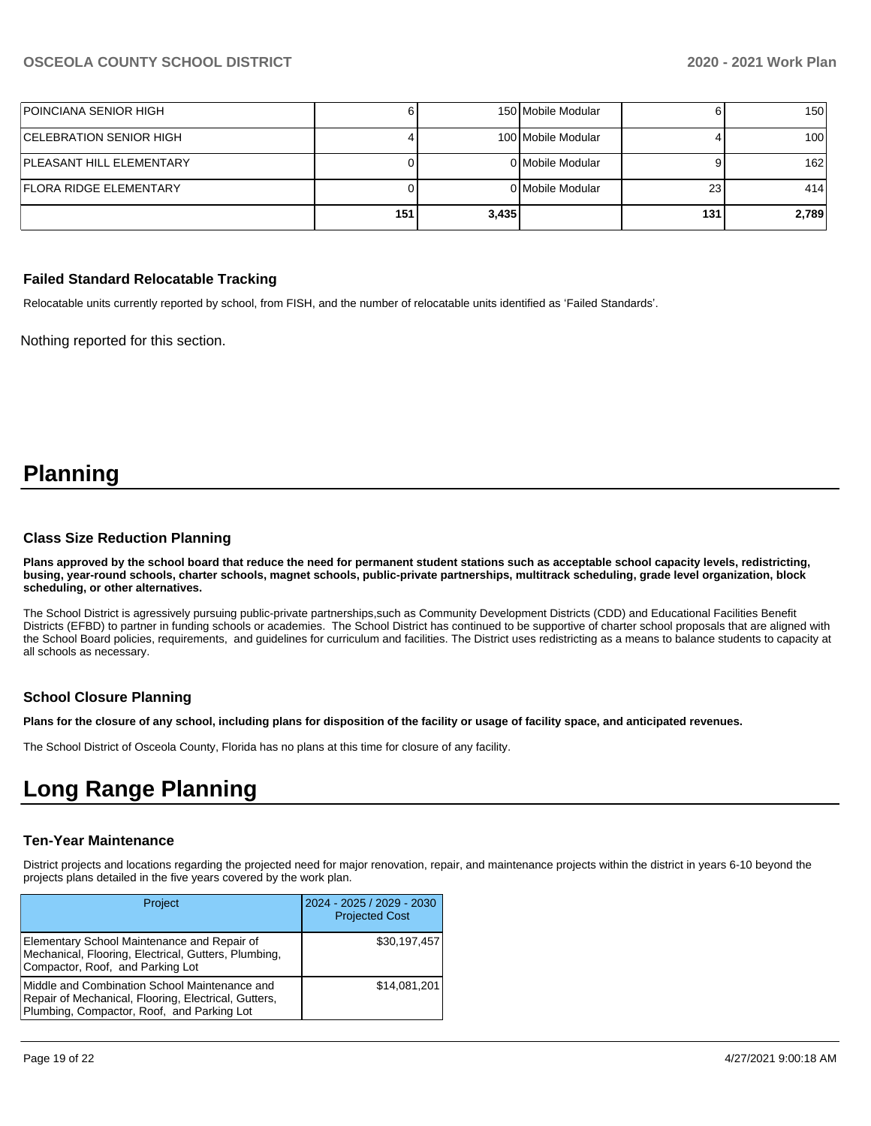| POINCIANA SENIOR HIGH           |     |       | 150 Mobile Modular |     | 150 <sup>1</sup> |
|---------------------------------|-----|-------|--------------------|-----|------------------|
| CELEBRATION SENIOR HIGH_        |     |       | 100 Mobile Modular |     | 100 <sup>1</sup> |
| <b>PLEASANT HILL ELEMENTARY</b> |     |       | 0 Mobile Modular   |     | 162              |
| FLORA RIDGE ELEMENTARY          |     |       | 0 Mobile Modular   | 23  | 414              |
|                                 | 151 | 3,435 |                    | 131 | 2,789            |

#### **Failed Standard Relocatable Tracking**

Relocatable units currently reported by school, from FISH, and the number of relocatable units identified as 'Failed Standards'.

Nothing reported for this section.

# **Planning**

#### **Class Size Reduction Planning**

**Plans approved by the school board that reduce the need for permanent student stations such as acceptable school capacity levels, redistricting, busing, year-round schools, charter schools, magnet schools, public-private partnerships, multitrack scheduling, grade level organization, block scheduling, or other alternatives.**

The School District is agressively pursuing public-private partnerships,such as Community Development Districts (CDD) and Educational Facilities Benefit Districts (EFBD) to partner in funding schools or academies. The School District has continued to be supportive of charter school proposals that are aligned with the School Board policies, requirements, and guidelines for curriculum and facilities. The District uses redistricting as a means to balance students to capacity at all schools as necessary.

#### **School Closure Planning**

**Plans for the closure of any school, including plans for disposition of the facility or usage of facility space, and anticipated revenues.** 

The School District of Osceola County, Florida has no plans at this time for closure of any facility.

# **Long Range Planning**

#### **Ten-Year Maintenance**

District projects and locations regarding the projected need for major renovation, repair, and maintenance projects within the district in years 6-10 beyond the projects plans detailed in the five years covered by the work plan.

| Project                                                                                                                                             | 2024 - 2025 / 2029 - 2030<br><b>Projected Cost</b> |
|-----------------------------------------------------------------------------------------------------------------------------------------------------|----------------------------------------------------|
| Elementary School Maintenance and Repair of<br>Mechanical, Flooring, Electrical, Gutters, Plumbing,<br>Compactor, Roof, and Parking Lot             | \$30,197,457                                       |
| Middle and Combination School Maintenance and<br>Repair of Mechanical, Flooring, Electrical, Gutters,<br>Plumbing, Compactor, Roof, and Parking Lot | \$14,081,201                                       |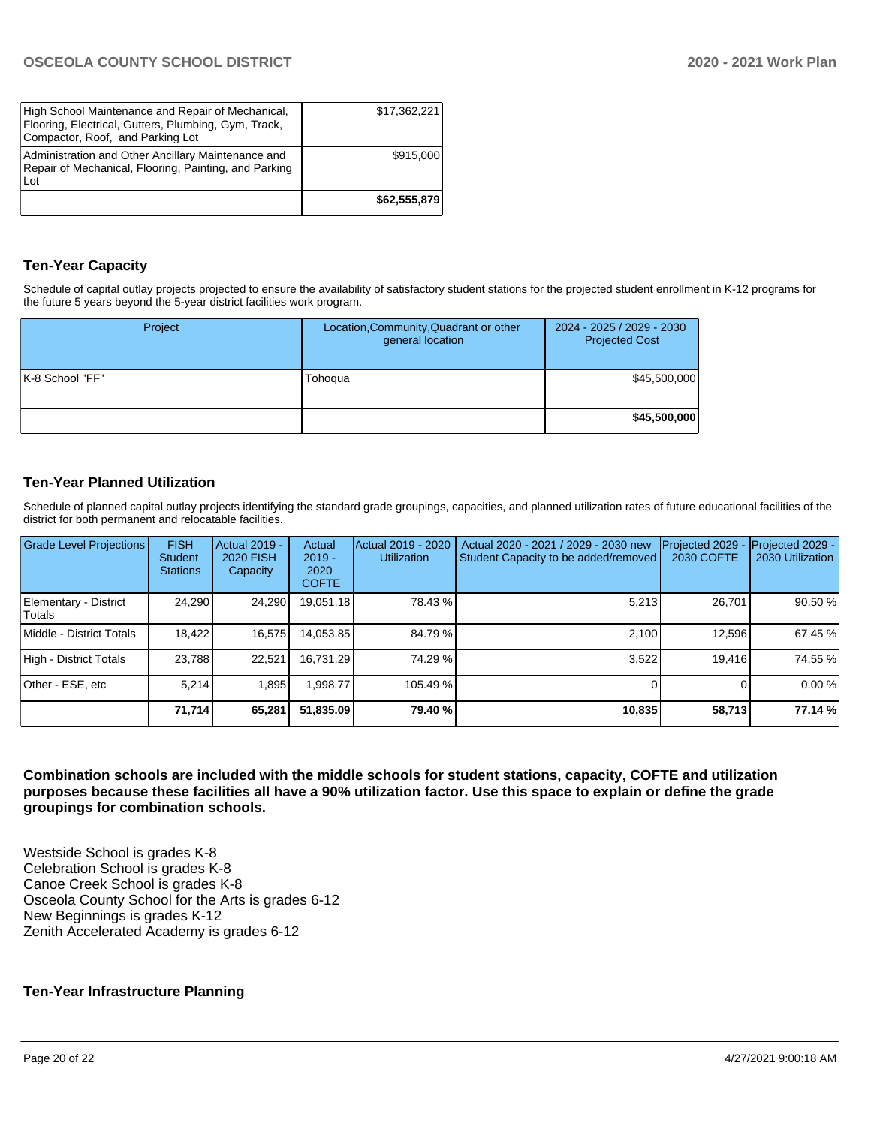| High School Maintenance and Repair of Mechanical,<br>Flooring, Electrical, Gutters, Plumbing, Gym, Track,<br>Compactor, Roof, and Parking Lot | \$17,362,221 |
|-----------------------------------------------------------------------------------------------------------------------------------------------|--------------|
| Administration and Other Ancillary Maintenance and<br>Repair of Mechanical, Flooring, Painting, and Parking<br>Lot                            | \$915,000    |
|                                                                                                                                               | \$62,555,879 |

# **Ten-Year Capacity**

Schedule of capital outlay projects projected to ensure the availability of satisfactory student stations for the projected student enrollment in K-12 programs for the future 5 years beyond the 5-year district facilities work program.

| Project         | Location, Community, Quadrant or other<br>general location | 2024 - 2025 / 2029 - 2030<br><b>Projected Cost</b> |
|-----------------|------------------------------------------------------------|----------------------------------------------------|
| K-8 School "FF" | Tohoqua                                                    | \$45,500,000                                       |
|                 |                                                            | \$45,500,000                                       |

# **Ten-Year Planned Utilization**

Schedule of planned capital outlay projects identifying the standard grade groupings, capacities, and planned utilization rates of future educational facilities of the district for both permanent and relocatable facilities.

| <b>Grade Level Projections</b>   | <b>FISH</b><br><b>Student</b><br><b>Stations</b> | Actual 2019 -<br><b>2020 FISH</b><br>Capacity | Actual<br>$2019 -$<br>2020<br><b>COFTE</b> | Actual 2019 - 2020<br><b>Utilization</b> | Actual 2020 - 2021 / 2029 - 2030 new<br>Student Capacity to be added/removed | Projected 2029<br>2030 COFTE | Projected 2029 -<br>2030 Utilization |
|----------------------------------|--------------------------------------------------|-----------------------------------------------|--------------------------------------------|------------------------------------------|------------------------------------------------------------------------------|------------------------------|--------------------------------------|
| Elementary - District<br> Totals | 24,290                                           | 24,290                                        | 19.051.18                                  | 78.43 %                                  | 5,213                                                                        | 26,701                       | 90.50 %                              |
| Middle - District Totals         | 18.422                                           | 16,575                                        | 14,053.85                                  | 84.79 %                                  | 2.100                                                                        | 12.596                       | 67.45 %                              |
| High - District Totals           | 23.788                                           | 22.521                                        | 16.731.29                                  | 74.29 %                                  | 3,522                                                                        | 19,416                       | 74.55 %                              |
| Other - ESE, etc                 | 5.214                                            | 1.895                                         | .998.77                                    | 105.49 %                                 |                                                                              |                              | 0.00%                                |
|                                  | 71,714                                           | 65,281                                        | 51,835.09                                  | 79.40 %                                  | 10,835                                                                       | 58,713                       | 77.14 %                              |

**Combination schools are included with the middle schools for student stations, capacity, COFTE and utilization purposes because these facilities all have a 90% utilization factor. Use this space to explain or define the grade groupings for combination schools.** 

Westside School is grades K-8 Celebration School is grades K-8 Canoe Creek School is grades K-8 Osceola County School for the Arts is grades 6-12 New Beginnings is grades K-12 Zenith Accelerated Academy is grades 6-12

# **Ten-Year Infrastructure Planning**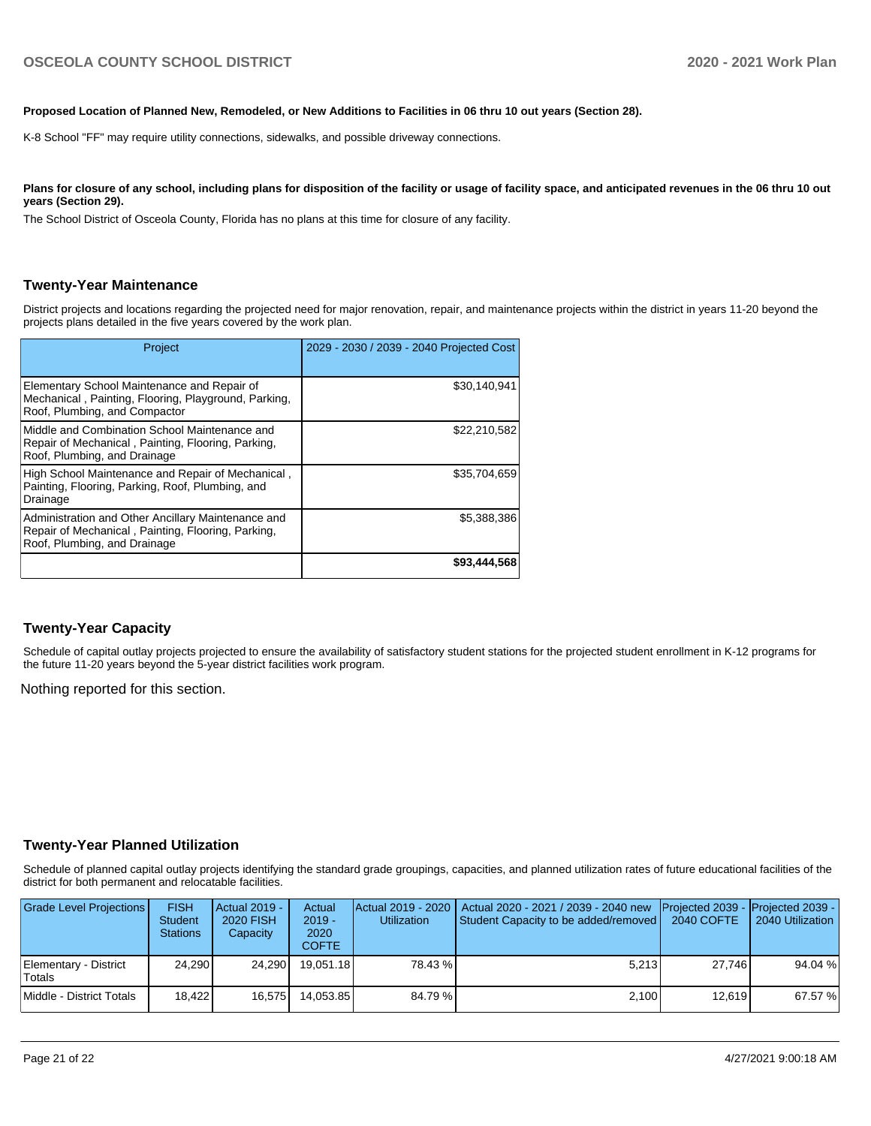#### **Proposed Location of Planned New, Remodeled, or New Additions to Facilities in 06 thru 10 out years (Section 28).**

K-8 School "FF" may require utility connections, sidewalks, and possible driveway connections.

Plans for closure of any school, including plans for disposition of the facility or usage of facility space, and anticipated revenues in the 06 thru 10 out **years (Section 29).**

The School District of Osceola County, Florida has no plans at this time for closure of any facility.

#### **Twenty-Year Maintenance**

District projects and locations regarding the projected need for major renovation, repair, and maintenance projects within the district in years 11-20 beyond the projects plans detailed in the five years covered by the work plan.

| Project                                                                                                                                  | 2029 - 2030 / 2039 - 2040 Projected Cost |
|------------------------------------------------------------------------------------------------------------------------------------------|------------------------------------------|
| Elementary School Maintenance and Repair of<br>Mechanical, Painting, Flooring, Playground, Parking,<br>Roof, Plumbing, and Compactor     | \$30,140,941                             |
| Middle and Combination School Maintenance and<br>Repair of Mechanical, Painting, Flooring, Parking,<br>Roof, Plumbing, and Drainage      | \$22,210,582                             |
| High School Maintenance and Repair of Mechanical,<br>Painting, Flooring, Parking, Roof, Plumbing, and<br>Drainage                        | \$35,704,659                             |
| Administration and Other Ancillary Maintenance and<br>Repair of Mechanical, Painting, Flooring, Parking,<br>Roof, Plumbing, and Drainage | \$5,388,386                              |
|                                                                                                                                          | \$93,444,568                             |

#### **Twenty-Year Capacity**

Schedule of capital outlay projects projected to ensure the availability of satisfactory student stations for the projected student enrollment in K-12 programs for the future 11-20 years beyond the 5-year district facilities work program.

Nothing reported for this section.

#### **Twenty-Year Planned Utilization**

Schedule of planned capital outlay projects identifying the standard grade groupings, capacities, and planned utilization rates of future educational facilities of the district for both permanent and relocatable facilities.

| <b>Grade Level Projections</b>  | <b>FISH</b><br><b>Student</b><br><b>Stations</b> | <b>Actual 2019 -</b><br><b>2020 FISH</b><br>Capacity | Actual<br>$2019 -$<br>2020<br><b>COFTE</b> | <b>Utilization</b> | Actual 2019 - 2020   Actual 2020 - 2021 / 2039 - 2040 new<br>Student Capacity to be added/removed | Projected 2039 - Projected 2039 -<br>2040 COFTE | 2040 Utilization |
|---------------------------------|--------------------------------------------------|------------------------------------------------------|--------------------------------------------|--------------------|---------------------------------------------------------------------------------------------------|-------------------------------------------------|------------------|
| Elementary - District<br>Totals | 24.290                                           | 24.2901                                              | 19.051.18                                  | 78.43 %            | 5.213                                                                                             | 27.746                                          | 94.04 %          |
| Middle - District Totals        | 18.422                                           | 16.575                                               | 14.053.85                                  | 84.79 %            | 2,100                                                                                             | 12.619                                          | 67.57 %          |